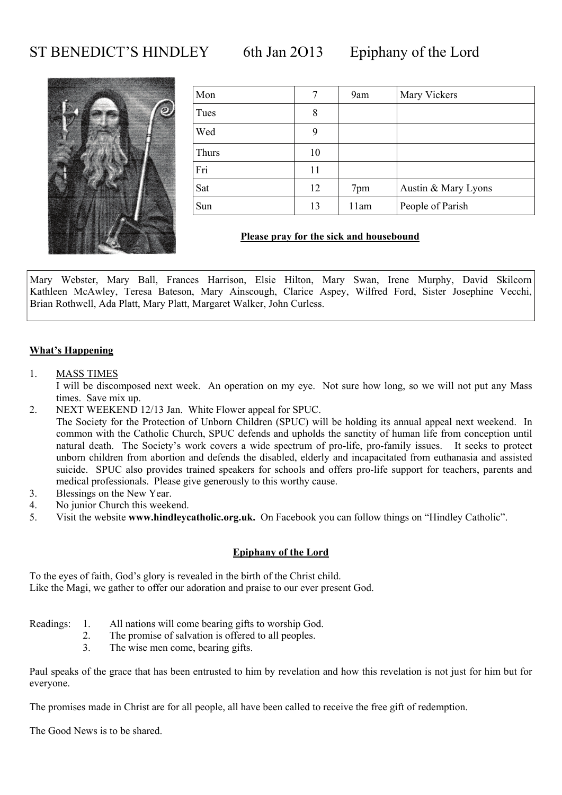### ST BENEDICT'S HINDLEY 6th Jan 2013 Epiphany of the Lord



| Mon   | 7  | 9am  | Mary Vickers        |
|-------|----|------|---------------------|
| Tues  | 8  |      |                     |
| Wed   | 9  |      |                     |
| Thurs | 10 |      |                     |
| Fri   | 11 |      |                     |
| Sat   | 12 | 7pm  | Austin & Mary Lyons |
| Sun   | 13 | 11am | People of Parish    |

#### **Please pray for the sick and housebound**

Mary Webster, Mary Ball, Frances Harrison, Elsie Hilton, Mary Swan, Irene Murphy, David Skilcorn Kathleen McAwley, Teresa Bateson, Mary Ainscough, Clarice Aspey, Wilfred Ford, Sister Josephine Vecchi, Brian Rothwell, Ada Platt, Mary Platt, Margaret Walker, John Curless.

#### **What's Happening**

#### 1. MASS TIMES

 I will be discomposed next week. An operation on my eye. Not sure how long, so we will not put any Mass times. Save mix up.

- 2. NEXT WEEKEND 12/13 Jan. White Flower appeal for SPUC. The Society for the Protection of Unborn Children (SPUC) will be holding its annual appeal next weekend. In common with the Catholic Church, SPUC defends and upholds the sanctity of human life from conception until natural death. The Society's work covers a wide spectrum of pro-life, pro-family issues. It seeks to protect unborn children from abortion and defends the disabled, elderly and incapacitated from euthanasia and assisted suicide. SPUC also provides trained speakers for schools and offers pro-life support for teachers, parents and
- medical professionals. Please give generously to this worthy cause.
- 3. Blessings on the New Year.
- 4. No junior Church this weekend.
- 5. Visit the website **www.hindleycatholic.org.uk.** On Facebook you can follow things on "Hindley Catholic".

#### **Epiphany of the Lord**

To the eyes of faith, God's glory is revealed in the birth of the Christ child. Like the Magi, we gather to offer our adoration and praise to our ever present God.

- Readings: 1. All nations will come bearing gifts to worship God.
	- 2. The promise of salvation is offered to all peoples.
	- 3. The wise men come, bearing gifts.

Paul speaks of the grace that has been entrusted to him by revelation and how this revelation is not just for him but for everyone.

The promises made in Christ are for all people, all have been called to receive the free gift of redemption.

The Good News is to be shared.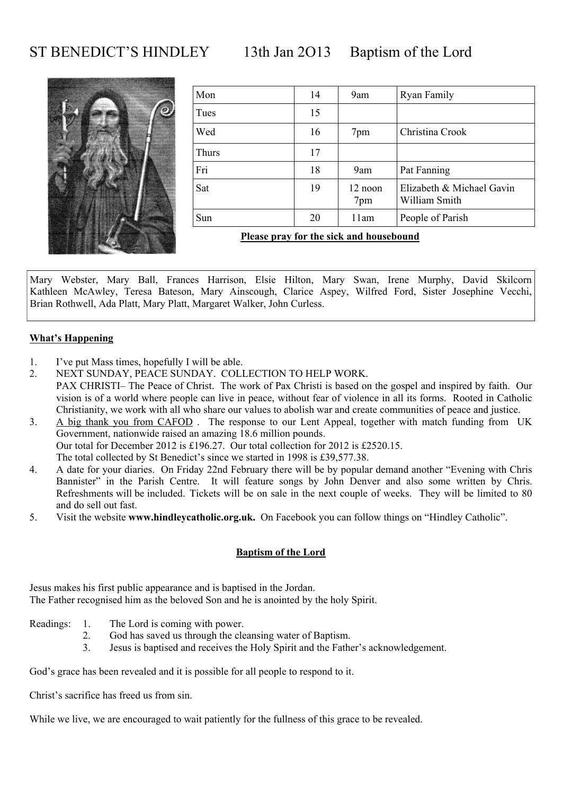ST BENEDICT'S HINDLEY 13th Jan 2013 Baptism of the Lord



| Mon   | 14 | 9am            | Ryan Family                                |
|-------|----|----------------|--------------------------------------------|
| Tues  | 15 |                |                                            |
| Wed   | 16 | 7pm            | Christina Crook                            |
| Thurs | 17 |                |                                            |
| Fri   | 18 | 9am            | Pat Fanning                                |
| Sat   | 19 | 12 noon<br>7pm | Elizabeth & Michael Gavin<br>William Smith |
| Sun   | 20 | 11am           | People of Parish                           |
|       |    |                |                                            |

**Please pray for the sick and housebound**

Mary Webster, Mary Ball, Frances Harrison, Elsie Hilton, Mary Swan, Irene Murphy, David Skilcorn Kathleen McAwley, Teresa Bateson, Mary Ainscough, Clarice Aspey, Wilfred Ford, Sister Josephine Vecchi, Brian Rothwell, Ada Platt, Mary Platt, Margaret Walker, John Curless.

#### **What's Happening**

- 1. I've put Mass times, hopefully I will be able.
- 2. NEXT SUNDAY, PEACE SUNDAY. COLLECTION TO HELP WORK. PAX CHRISTI– The Peace of Christ. The work of Pax Christi is based on the gospel and inspired by faith. Our vision is of a world where people can live in peace, without fear of violence in all its forms. Rooted in Catholic Christianity, we work with all who share our values to abolish war and create communities of peace and justice.
- 3. A big thank you from CAFOD . The response to our Lent Appeal, together with match funding from UK Government, nationwide raised an amazing 18.6 million pounds. Our total for December 2012 is £196.27. Our total collection for 2012 is £2520.15. The total collected by St Benedict's since we started in 1998 is £39,577.38.
- 4. A date for your diaries. On Friday 22nd February there will be by popular demand another "Evening with Chris Bannister" in the Parish Centre. It will feature songs by John Denver and also some written by Chris. Refreshments will be included. Tickets will be on sale in the next couple of weeks. They will be limited to 80 and do sell out fast.
- 5. Visit the website **www.hindleycatholic.org.uk.** On Facebook you can follow things on "Hindley Catholic".

#### **Baptism of the Lord**

Jesus makes his first public appearance and is baptised in the Jordan. The Father recognised him as the beloved Son and he is anointed by the holy Spirit.

- Readings: 1. The Lord is coming with power.
	- 2. God has saved us through the cleansing water of Baptism.
	- 3. Jesus is baptised and receives the Holy Spirit and the Father's acknowledgement.

God's grace has been revealed and it is possible for all people to respond to it.

Christ's sacrifice has freed us from sin.

While we live, we are encouraged to wait patiently for the fullness of this grace to be revealed.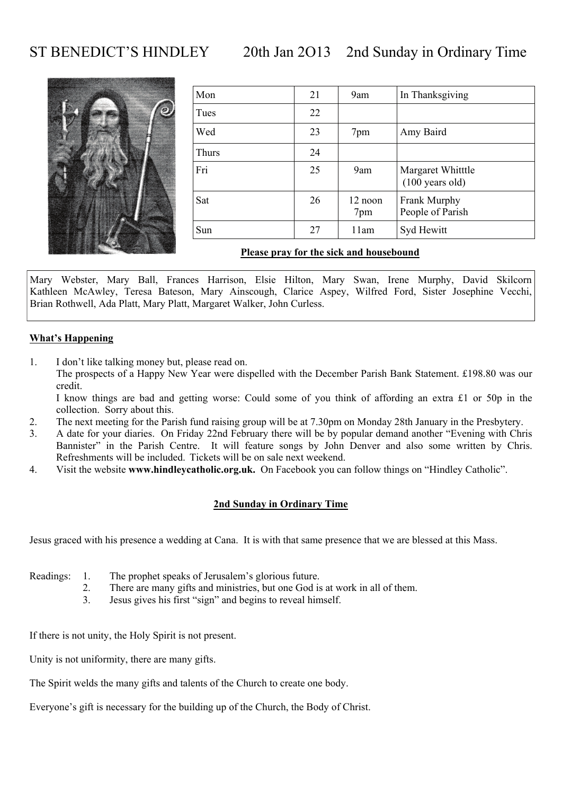### ST BENEDICT'S HINDLEY 20th Jan 2O13 2nd Sunday in Ordinary Time



| Mon   | 21 | 9am            | In Thanksgiving                                |
|-------|----|----------------|------------------------------------------------|
| Tues  | 22 |                |                                                |
| Wed   | 23 | 7pm            | Amy Baird                                      |
| Thurs | 24 |                |                                                |
| Fri   | 25 | 9am            | Margaret Whitttle<br>$(100 \text{ years old})$ |
| Sat   | 26 | 12 noon<br>7pm | Frank Murphy<br>People of Parish               |
| Sun   | 27 | 11am           | Syd Hewitt                                     |

#### **Please pray for the sick and housebound**

Mary Webster, Mary Ball, Frances Harrison, Elsie Hilton, Mary Swan, Irene Murphy, David Skilcorn Kathleen McAwley, Teresa Bateson, Mary Ainscough, Clarice Aspey, Wilfred Ford, Sister Josephine Vecchi, Brian Rothwell, Ada Platt, Mary Platt, Margaret Walker, John Curless.

#### **What's Happening**

1. I don't like talking money but, please read on. The prospects of a Happy New Year were dispelled with the December Parish Bank Statement. £198.80 was our credit.

 I know things are bad and getting worse: Could some of you think of affording an extra £1 or 50p in the collection. Sorry about this.

- 2. The next meeting for the Parish fund raising group will be at 7.30pm on Monday 28th January in the Presbytery.
- 3. A date for your diaries. On Friday 22nd February there will be by popular demand another "Evening with Chris Bannister" in the Parish Centre. It will feature songs by John Denver and also some written by Chris. Refreshments will be included. Tickets will be on sale next weekend.
- 4. Visit the website **www.hindleycatholic.org.uk.** On Facebook you can follow things on "Hindley Catholic".

#### **2nd Sunday in Ordinary Time**

Jesus graced with his presence a wedding at Cana. It is with that same presence that we are blessed at this Mass.

- Readings: 1. The prophet speaks of Jerusalem's glorious future.
	- 2. There are many gifts and ministries, but one God is at work in all of them.
	- 3. Jesus gives his first "sign" and begins to reveal himself.

If there is not unity, the Holy Spirit is not present.

Unity is not uniformity, there are many gifts.

The Spirit welds the many gifts and talents of the Church to create one body.

Everyone's gift is necessary for the building up of the Church, the Body of Christ.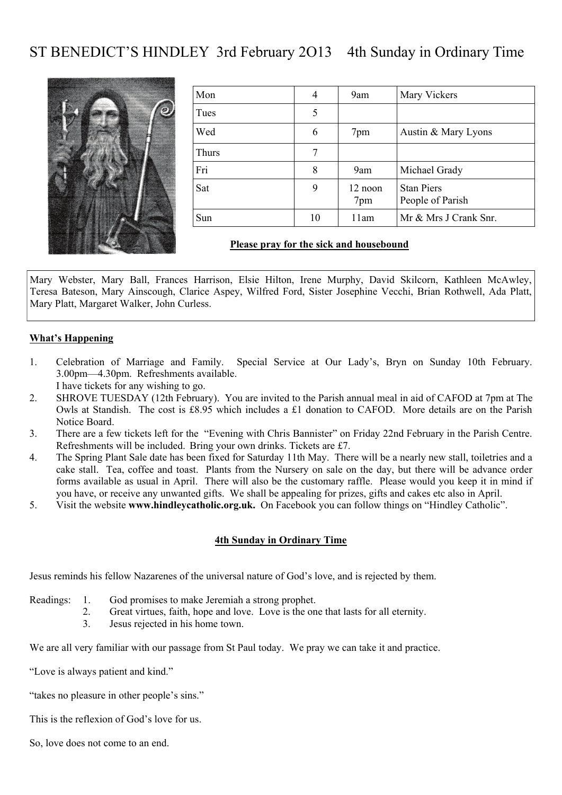# ST BENEDICT'S HINDLEY 3rd February 2O13 4th Sunday in Ordinary Time



| Mon   | 4  | 9am            | Mary Vickers                          |
|-------|----|----------------|---------------------------------------|
| Tues  | 5  |                |                                       |
| Wed   | 6  | 7pm            | Austin & Mary Lyons                   |
| Thurs | 7  |                |                                       |
| Fri   | 8  | 9am            | Michael Grady                         |
| Sat   | 9  | 12 noon<br>7pm | <b>Stan Piers</b><br>People of Parish |
| Sun   | 10 | 11am           | Mr & Mrs J Crank Snr.                 |

#### **Please pray for the sick and housebound**

Mary Webster, Mary Ball, Frances Harrison, Elsie Hilton, Irene Murphy, David Skilcorn, Kathleen McAwley, Teresa Bateson, Mary Ainscough, Clarice Aspey, Wilfred Ford, Sister Josephine Vecchi, Brian Rothwell, Ada Platt, Mary Platt, Margaret Walker, John Curless.

#### **What's Happening**

- 1. Celebration of Marriage and Family. Special Service at Our Lady's, Bryn on Sunday 10th February. 3.00pm—4.30pm. Refreshments available. I have tickets for any wishing to go.
- 2. SHROVE TUESDAY (12th February). You are invited to the Parish annual meal in aid of CAFOD at 7pm at The Owls at Standish. The cost is £8.95 which includes a £1 donation to CAFOD. More details are on the Parish Notice Board.
- 3. There are a few tickets left for the "Evening with Chris Bannister" on Friday 22nd February in the Parish Centre. Refreshments will be included. Bring your own drinks. Tickets are £7.
- 4. The Spring Plant Sale date has been fixed for Saturday 11th May. There will be a nearly new stall, toiletries and a cake stall. Tea, coffee and toast. Plants from the Nursery on sale on the day, but there will be advance order forms available as usual in April. There will also be the customary raffle. Please would you keep it in mind if you have, or receive any unwanted gifts. We shall be appealing for prizes, gifts and cakes etc also in April.
- 5. Visit the website **www.hindleycatholic.org.uk.** On Facebook you can follow things on "Hindley Catholic".

#### **4th Sunday in Ordinary Time**

Jesus reminds his fellow Nazarenes of the universal nature of God's love, and is rejected by them.

- Readings: 1. God promises to make Jeremiah a strong prophet.
	- 2. Great virtues, faith, hope and love. Love is the one that lasts for all eternity.
	- 3. Jesus rejected in his home town.

We are all very familiar with our passage from St Paul today. We pray we can take it and practice.

- "Love is always patient and kind."
- "takes no pleasure in other people's sins."
- This is the reflexion of God's love for us.
- So, love does not come to an end.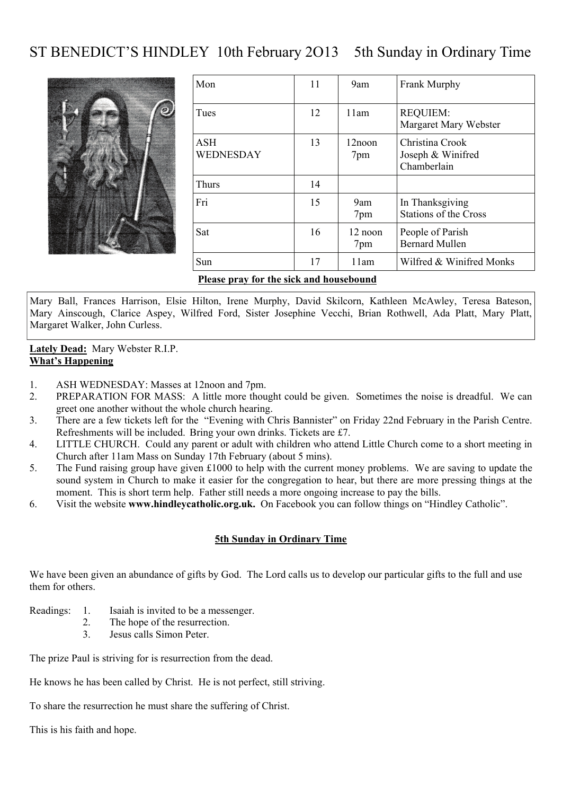# ST BENEDICT'S HINDLEY 10th February 2013 5th Sunday in Ordinary Time



| Mon                                     | 11 | 9am                      | <b>Frank Murphy</b>                                 |  |
|-----------------------------------------|----|--------------------------|-----------------------------------------------------|--|
| Tues                                    | 12 | 11am                     | <b>REQUIEM:</b><br>Margaret Mary Webster            |  |
| <b>ASH</b><br>WEDNESDAY                 | 13 | 12noon<br>7pm            | Christina Crook<br>Joseph & Winifred<br>Chamberlain |  |
| <b>Thurs</b>                            | 14 |                          |                                                     |  |
| Fri                                     | 15 | 9am<br>7pm               | In Thanksgiving<br><b>Stations of the Cross</b>     |  |
| Sat                                     | 16 | $12 \text{ noon}$<br>7pm | People of Parish<br><b>Bernard Mullen</b>           |  |
| Sun                                     | 17 | 11am                     | Wilfred & Winifred Monks                            |  |
| Please pray for the sick and housebound |    |                          |                                                     |  |

Mary Ball, Frances Harrison, Elsie Hilton, Irene Murphy, David Skilcorn, Kathleen McAwley, Teresa Bateson, Mary Ainscough, Clarice Aspey, Wilfred Ford, Sister Josephine Vecchi, Brian Rothwell, Ada Platt, Mary Platt, Margaret Walker, John Curless.

**Lately Dead:** Mary Webster R.I.P. **What's Happening**

- 1. ASH WEDNESDAY: Masses at 12noon and 7pm.
- 2. PREPARATION FOR MASS: A little more thought could be given. Sometimes the noise is dreadful. We can greet one another without the whole church hearing.
- 3. There are a few tickets left for the "Evening with Chris Bannister" on Friday 22nd February in the Parish Centre. Refreshments will be included. Bring your own drinks. Tickets are £7.
- 4. LITTLE CHURCH. Could any parent or adult with children who attend Little Church come to a short meeting in Church after 11am Mass on Sunday 17th February (about 5 mins).
- 5. The Fund raising group have given £1000 to help with the current money problems. We are saving to update the sound system in Church to make it easier for the congregation to hear, but there are more pressing things at the moment. This is short term help. Father still needs a more ongoing increase to pay the bills.
- 6. Visit the website **www.hindleycatholic.org.uk.** On Facebook you can follow things on "Hindley Catholic".

#### **5th Sunday in Ordinary Time**

We have been given an abundance of gifts by God. The Lord calls us to develop our particular gifts to the full and use them for others.

- Readings: 1. Isaiah is invited to be a messenger.
	- 2. The hope of the resurrection.
	- 3. Jesus calls Simon Peter.

The prize Paul is striving for is resurrection from the dead.

He knows he has been called by Christ. He is not perfect, still striving.

To share the resurrection he must share the suffering of Christ.

This is his faith and hope.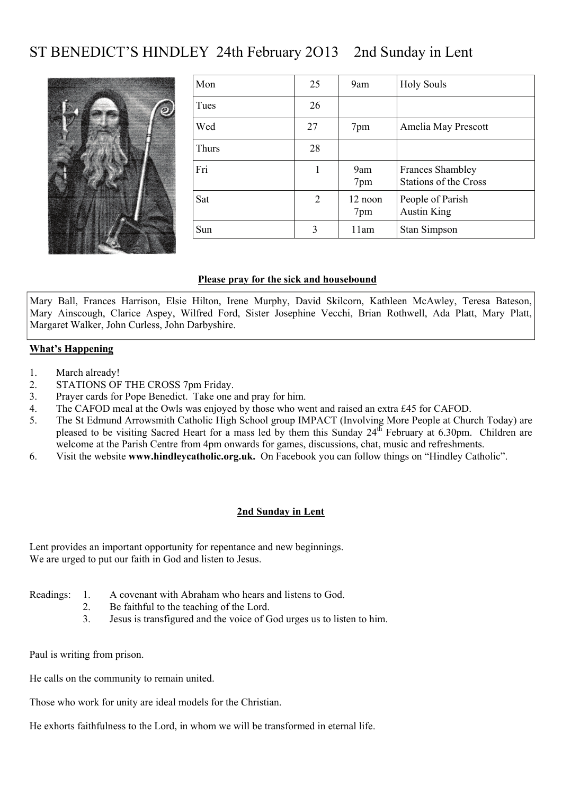# ST BENEDICT'S HINDLEY 24th February 2O13 2nd Sunday in Lent



| Mon   | 25 | 9am            | <b>Holy Souls</b>                                       |
|-------|----|----------------|---------------------------------------------------------|
| Tues  | 26 |                |                                                         |
| Wed   | 27 | 7pm            | Amelia May Prescott                                     |
| Thurs | 28 |                |                                                         |
| Fri   | 1  | 9am<br>7pm     | <b>Frances Shambley</b><br><b>Stations of the Cross</b> |
| Sat   | 2  | 12 noon<br>7pm | People of Parish<br><b>Austin King</b>                  |
| Sun   | 3  | 11am           | Stan Simpson                                            |

#### **Please pray for the sick and housebound**

Mary Ball, Frances Harrison, Elsie Hilton, Irene Murphy, David Skilcorn, Kathleen McAwley, Teresa Bateson, Mary Ainscough, Clarice Aspey, Wilfred Ford, Sister Josephine Vecchi, Brian Rothwell, Ada Platt, Mary Platt, Margaret Walker, John Curless, John Darbyshire.

#### **What's Happening**

- 1. March already!
- 2. STATIONS OF THE CROSS 7pm Friday.
- 3. Prayer cards for Pope Benedict. Take one and pray for him.
- 4. The CAFOD meal at the Owls was enjoyed by those who went and raised an extra £45 for CAFOD.
- 5. The St Edmund Arrowsmith Catholic High School group IMPACT (Involving More People at Church Today) are pleased to be visiting Sacred Heart for a mass led by them this Sunday 24<sup>th</sup> February at 6.30pm. Children are welcome at the Parish Centre from 4pm onwards for games, discussions, chat, music and refreshments.
- 6. Visit the website **www.hindleycatholic.org.uk.** On Facebook you can follow things on "Hindley Catholic".

#### **2nd Sunday in Lent**

Lent provides an important opportunity for repentance and new beginnings. We are urged to put our faith in God and listen to Jesus.

- Readings: 1. A covenant with Abraham who hears and listens to God.
	- 2. Be faithful to the teaching of the Lord.
	- 3. Jesus is transfigured and the voice of God urges us to listen to him.

Paul is writing from prison.

He calls on the community to remain united.

Those who work for unity are ideal models for the Christian.

He exhorts faithfulness to the Lord, in whom we will be transformed in eternal life.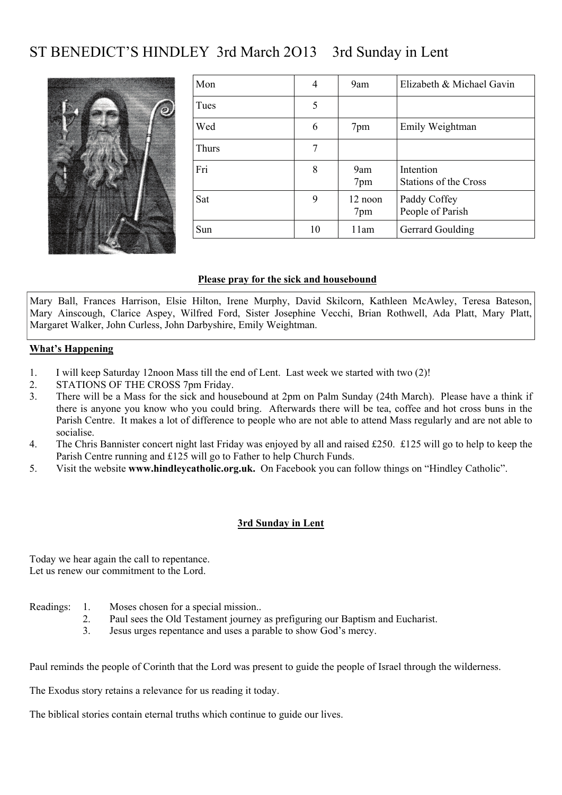# ST BENEDICT'S HINDLEY 3rd March 2O13 3rd Sunday in Lent



| Mon          | $\overline{4}$ | 9am              | Elizabeth & Michael Gavin                 |
|--------------|----------------|------------------|-------------------------------------------|
| Tues         | 5              |                  |                                           |
| Wed          | 6              | 7pm              | Emily Weightman                           |
| <b>Thurs</b> | 7              |                  |                                           |
| Fri          | 8              | 9am<br>7pm       | Intention<br><b>Stations of the Cross</b> |
| Sat          | 9              | $12$ noon<br>7pm | Paddy Coffey<br>People of Parish          |
| Sun          | 10             | 11am             | Gerrard Goulding                          |

#### **Please pray for the sick and housebound**

Mary Ball, Frances Harrison, Elsie Hilton, Irene Murphy, David Skilcorn, Kathleen McAwley, Teresa Bateson, Mary Ainscough, Clarice Aspey, Wilfred Ford, Sister Josephine Vecchi, Brian Rothwell, Ada Platt, Mary Platt, Margaret Walker, John Curless, John Darbyshire, Emily Weightman.

#### **What's Happening**

- 1. I will keep Saturday 12noon Mass till the end of Lent. Last week we started with two (2)!
- 2. STATIONS OF THE CROSS 7pm Friday.
- 3. There will be a Mass for the sick and housebound at 2pm on Palm Sunday (24th March). Please have a think if there is anyone you know who you could bring. Afterwards there will be tea, coffee and hot cross buns in the Parish Centre. It makes a lot of difference to people who are not able to attend Mass regularly and are not able to socialise.
- 4. The Chris Bannister concert night last Friday was enjoyed by all and raised £250. £125 will go to help to keep the Parish Centre running and £125 will go to Father to help Church Funds.
- 5. Visit the website **www.hindleycatholic.org.uk.** On Facebook you can follow things on "Hindley Catholic".

#### **3rd Sunday in Lent**

Today we hear again the call to repentance. Let us renew our commitment to the Lord.

- Readings: 1. Moses chosen for a special mission..
	- 2. Paul sees the Old Testament journey as prefiguring our Baptism and Eucharist.
	- 3. Jesus urges repentance and uses a parable to show God's mercy.

Paul reminds the people of Corinth that the Lord was present to guide the people of Israel through the wilderness.

The Exodus story retains a relevance for us reading it today.

The biblical stories contain eternal truths which continue to guide our lives.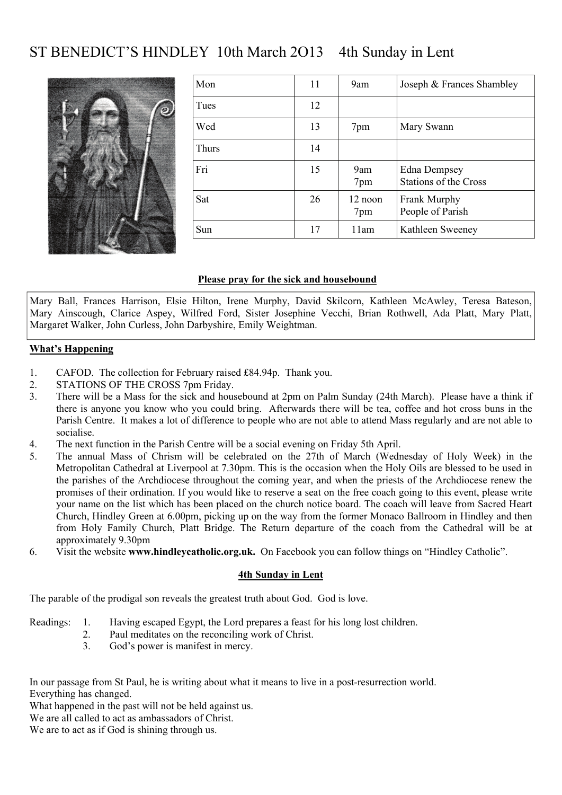# ST BENEDICT'S HINDLEY 10th March 2O13 4th Sunday in Lent



| Mon          | 11 | 9am                                  | Joseph & Frances Shambley                           |
|--------------|----|--------------------------------------|-----------------------------------------------------|
| Tues         | 12 |                                      |                                                     |
| Wed          | 13 | 7pm                                  | Mary Swann                                          |
| <b>Thurs</b> | 14 |                                      |                                                     |
| Fri          | 15 | 9am<br>7pm                           | <b>Edna Dempsey</b><br><b>Stations of the Cross</b> |
| Sat          | 26 | $12 \text{ noon}$<br>7 <sub>pm</sub> | Frank Murphy<br>People of Parish                    |
| Sun          | 17 | 11am                                 | Kathleen Sweeney                                    |

#### **Please pray for the sick and housebound**

Mary Ball, Frances Harrison, Elsie Hilton, Irene Murphy, David Skilcorn, Kathleen McAwley, Teresa Bateson, Mary Ainscough, Clarice Aspey, Wilfred Ford, Sister Josephine Vecchi, Brian Rothwell, Ada Platt, Mary Platt, Margaret Walker, John Curless, John Darbyshire, Emily Weightman.

#### **What's Happening**

- 1. CAFOD. The collection for February raised £84.94p. Thank you.
- 2. STATIONS OF THE CROSS 7pm Friday.
- 3. There will be a Mass for the sick and housebound at 2pm on Palm Sunday (24th March). Please have a think if there is anyone you know who you could bring. Afterwards there will be tea, coffee and hot cross buns in the Parish Centre. It makes a lot of difference to people who are not able to attend Mass regularly and are not able to socialise.
- 4. The next function in the Parish Centre will be a social evening on Friday 5th April.
- 5. The annual Mass of Chrism will be celebrated on the 27th of March (Wednesday of Holy Week) in the Metropolitan Cathedral at Liverpool at 7.30pm. This is the occasion when the Holy Oils are blessed to be used in the parishes of the Archdiocese throughout the coming year, and when the priests of the Archdiocese renew the promises of their ordination. If you would like to reserve a seat on the free coach going to this event, please write your name on the list which has been placed on the church notice board. The coach will leave from Sacred Heart Church, Hindley Green at 6.00pm, picking up on the way from the former Monaco Ballroom in Hindley and then from Holy Family Church, Platt Bridge. The Return departure of the coach from the Cathedral will be at approximately 9.30pm
- 6. Visit the website **www.hindleycatholic.org.uk.** On Facebook you can follow things on "Hindley Catholic".

#### **4th Sunday in Lent**

The parable of the prodigal son reveals the greatest truth about God. God is love.

- Readings: 1. Having escaped Egypt, the Lord prepares a feast for his long lost children.
	- 2. Paul meditates on the reconciling work of Christ.
	- 3. God's power is manifest in mercy.

In our passage from St Paul, he is writing about what it means to live in a post-resurrection world. Everything has changed.

What happened in the past will not be held against us.

We are all called to act as ambassadors of Christ.

We are to act as if God is shining through us.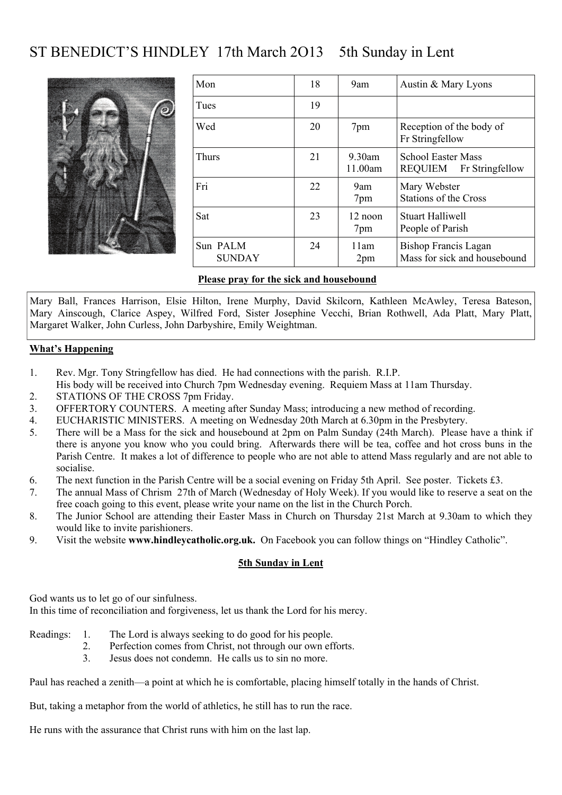# ST BENEDICT'S HINDLEY 17th March 2O13 5th Sunday in Lent



| Mon                       | 18 | 9am                  | Austin & Mary Lyons                                  |
|---------------------------|----|----------------------|------------------------------------------------------|
| Tues                      | 19 |                      |                                                      |
| Wed                       | 20 | 7pm                  | Reception of the body of<br>Fr Stringfellow          |
| <b>Thurs</b>              | 21 | $9.30$ am<br>11.00am | <b>School Easter Mass</b><br>REQUIEM Fr Stringfellow |
| Fri                       | 22 | 9am<br>7pm           | Mary Webster<br><b>Stations of the Cross</b>         |
| Sat                       | 23 | 12 noon<br>7pm       | <b>Stuart Halliwell</b><br>People of Parish          |
| Sun PALM<br><b>SUNDAY</b> | 24 | 11am<br>2pm          | Bishop Francis Lagan<br>Mass for sick and housebound |

#### **Please pray for the sick and housebound**

Mary Ball, Frances Harrison, Elsie Hilton, Irene Murphy, David Skilcorn, Kathleen McAwley, Teresa Bateson, Mary Ainscough, Clarice Aspey, Wilfred Ford, Sister Josephine Vecchi, Brian Rothwell, Ada Platt, Mary Platt, Margaret Walker, John Curless, John Darbyshire, Emily Weightman.

#### **What's Happening**

- 1. Rev. Mgr. Tony Stringfellow has died. He had connections with the parish. R.I.P.
- His body will be received into Church 7pm Wednesday evening. Requiem Mass at 11am Thursday.
- 2. STATIONS OF THE CROSS 7pm Friday.
- 3. OFFERTORY COUNTERS. A meeting after Sunday Mass; introducing a new method of recording.
- 4. EUCHARISTIC MINISTERS. A meeting on Wednesday 20th March at 6.30pm in the Presbytery.
- 5. There will be a Mass for the sick and housebound at 2pm on Palm Sunday (24th March). Please have a think if there is anyone you know who you could bring. Afterwards there will be tea, coffee and hot cross buns in the Parish Centre. It makes a lot of difference to people who are not able to attend Mass regularly and are not able to socialise.
- 6. The next function in the Parish Centre will be a social evening on Friday 5th April. See poster. Tickets £3.
- 7. The annual Mass of Chrism 27th of March (Wednesday of Holy Week). If you would like to reserve a seat on the free coach going to this event, please write your name on the list in the Church Porch.
- 8. The Junior School are attending their Easter Mass in Church on Thursday 21st March at 9.30am to which they would like to invite parishioners.
- 9. Visit the website **www.hindleycatholic.org.uk.** On Facebook you can follow things on "Hindley Catholic".

#### **5th Sunday in Lent**

God wants us to let go of our sinfulness.

In this time of reconciliation and forgiveness, let us thank the Lord for his mercy.

#### Readings: 1. The Lord is always seeking to do good for his people.

- 2. Perfection comes from Christ, not through our own efforts.
- 3. Jesus does not condemn. He calls us to sin no more.

Paul has reached a zenith—a point at which he is comfortable, placing himself totally in the hands of Christ.

But, taking a metaphor from the world of athletics, he still has to run the race.

He runs with the assurance that Christ runs with him on the last lap.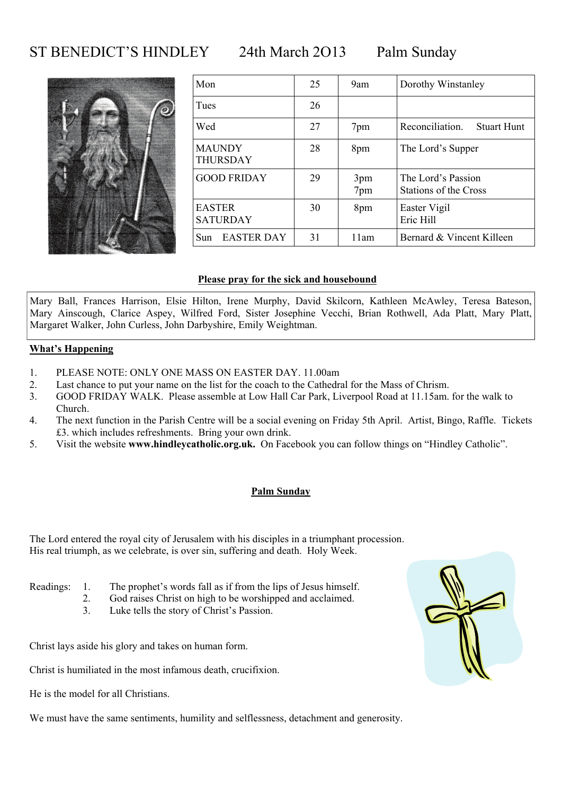### ST BENEDICT'S HINDLEY 24th March 2013 Palm Sunday



| Mon                       | 25 | 9am        | Dorothy Winstanley                          |
|---------------------------|----|------------|---------------------------------------------|
| Tues                      | 26 |            |                                             |
| Wed                       | 27 | 7pm        | Reconciliation.<br><b>Stuart Hunt</b>       |
| <b>MAUNDY</b><br>THURSDAY | 28 | 8pm        | The Lord's Supper                           |
| <b>GOOD FRIDAY</b>        | 29 | 3pm<br>7pm | The Lord's Passion<br>Stations of the Cross |
| EASTER<br><b>SATURDAY</b> | 30 | 8pm        | Easter Vigil<br>Eric Hill                   |
| Sun<br><b>EASTER DAY</b>  | 31 | 11am       | Bernard & Vincent Killeen                   |

#### **Please pray for the sick and housebound**

Mary Ball, Frances Harrison, Elsie Hilton, Irene Murphy, David Skilcorn, Kathleen McAwley, Teresa Bateson, Mary Ainscough, Clarice Aspey, Wilfred Ford, Sister Josephine Vecchi, Brian Rothwell, Ada Platt, Mary Platt, Margaret Walker, John Curless, John Darbyshire, Emily Weightman.

#### **What's Happening**

- 1. PLEASE NOTE: ONLY ONE MASS ON EASTER DAY. 11.00am
- 2. Last chance to put your name on the list for the coach to the Cathedral for the Mass of Chrism.
- 3. GOOD FRIDAY WALK. Please assemble at Low Hall Car Park, Liverpool Road at 11.15am. for the walk to Church.
- 4. The next function in the Parish Centre will be a social evening on Friday 5th April. Artist, Bingo, Raffle. Tickets £3. which includes refreshments. Bring your own drink.
- 5. Visit the website **www.hindleycatholic.org.uk.** On Facebook you can follow things on "Hindley Catholic".

#### **Palm Sunday**

The Lord entered the royal city of Jerusalem with his disciples in a triumphant procession. His real triumph, as we celebrate, is over sin, suffering and death. Holy Week.

- Readings: 1. The prophet's words fall as if from the lips of Jesus himself.
	- 2. God raises Christ on high to be worshipped and acclaimed.
	- 3. Luke tells the story of Christ's Passion.

Christ lays aside his glory and takes on human form.

Christ is humiliated in the most infamous death, crucifixion.

He is the model for all Christians.

We must have the same sentiments, humility and selflessness, detachment and generosity.

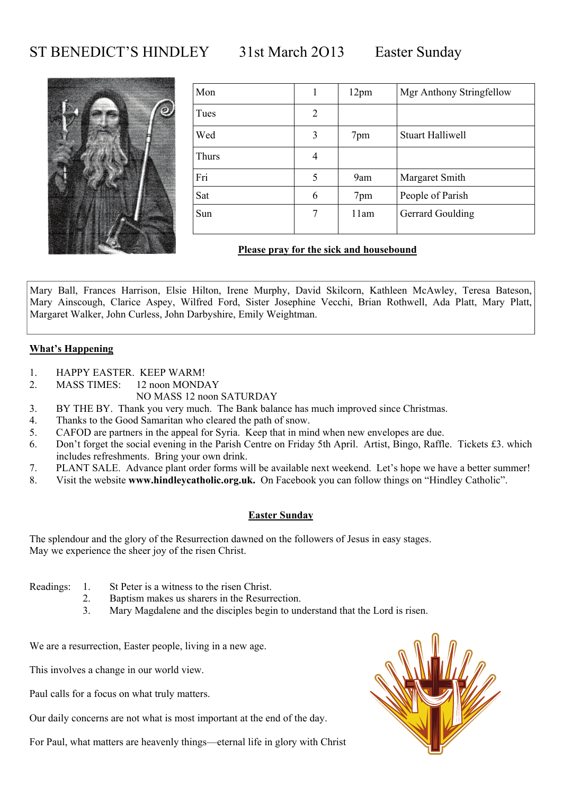### ST BENEDICT'S HINDLEY 31st March 2O13 Easter Sunday



| Mon   |   | 12 <sub>pm</sub> | Mgr Anthony Stringfellow |
|-------|---|------------------|--------------------------|
| Tues  | 2 |                  |                          |
| Wed   | 3 | 7pm              | <b>Stuart Halliwell</b>  |
| Thurs | 4 |                  |                          |
| Fri   | 5 | 9am              | Margaret Smith           |
| Sat   | 6 | 7pm              | People of Parish         |
| Sun   | 7 | 11am             | Gerrard Goulding         |

#### **Please pray for the sick and housebound**

Mary Ball, Frances Harrison, Elsie Hilton, Irene Murphy, David Skilcorn, Kathleen McAwley, Teresa Bateson, Mary Ainscough, Clarice Aspey, Wilfred Ford, Sister Josephine Vecchi, Brian Rothwell, Ada Platt, Mary Platt, Margaret Walker, John Curless, John Darbyshire, Emily Weightman.

#### **What's Happening**

- 1. HAPPY EASTER. KEEP WARM!
- 2. MASS TIMES: 12 noon MONDAY
	- NO MASS 12 noon SATURDAY
- 3. BY THE BY. Thank you very much. The Bank balance has much improved since Christmas.
- 4. Thanks to the Good Samaritan who cleared the path of snow.
- 5. CAFOD are partners in the appeal for Syria. Keep that in mind when new envelopes are due.
- 6. Don't forget the social evening in the Parish Centre on Friday 5th April. Artist, Bingo, Raffle. Tickets £3. which includes refreshments. Bring your own drink.
- 7. PLANT SALE. Advance plant order forms will be available next weekend. Let's hope we have a better summer!
- 8. Visit the website **www.hindleycatholic.org.uk.** On Facebook you can follow things on "Hindley Catholic".

#### **Easter Sunday**

The splendour and the glory of the Resurrection dawned on the followers of Jesus in easy stages. May we experience the sheer joy of the risen Christ.

- Readings: 1. St Peter is a witness to the risen Christ.
	- 2. Baptism makes us sharers in the Resurrection.
	- 3. Mary Magdalene and the disciples begin to understand that the Lord is risen.

We are a resurrection, Easter people, living in a new age.

This involves a change in our world view.

Paul calls for a focus on what truly matters.

Our daily concerns are not what is most important at the end of the day.

For Paul, what matters are heavenly things—eternal life in glory with Christ

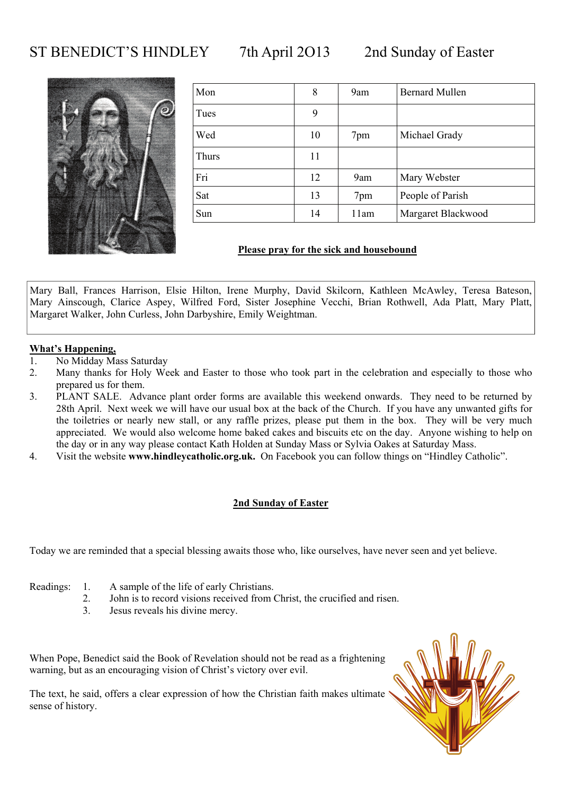### ST BENEDICT'S HINDLEY 7th April 2013 2nd Sunday of Easter



| Mon   | 8  | 9am  | <b>Bernard Mullen</b> |
|-------|----|------|-----------------------|
| Tues  | 9  |      |                       |
| Wed   | 10 | 7pm  | Michael Grady         |
| Thurs | 11 |      |                       |
| Fri   | 12 | 9am  | Mary Webster          |
| Sat   | 13 | 7pm  | People of Parish      |
| Sun   | 14 | 11am | Margaret Blackwood    |

#### **Please pray for the sick and housebound**

Mary Ball, Frances Harrison, Elsie Hilton, Irene Murphy, David Skilcorn, Kathleen McAwley, Teresa Bateson, Mary Ainscough, Clarice Aspey, Wilfred Ford, Sister Josephine Vecchi, Brian Rothwell, Ada Platt, Mary Platt, Margaret Walker, John Curless, John Darbyshire, Emily Weightman.

#### **What's Happening,**

- 1. No Midday Mass Saturday
- 2. Many thanks for Holy Week and Easter to those who took part in the celebration and especially to those who prepared us for them.
- 3. PLANT SALE. Advance plant order forms are available this weekend onwards. They need to be returned by 28th April. Next week we will have our usual box at the back of the Church. If you have any unwanted gifts for the toiletries or nearly new stall, or any raffle prizes, please put them in the box. They will be very much appreciated. We would also welcome home baked cakes and biscuits etc on the day. Anyone wishing to help on the day or in any way please contact Kath Holden at Sunday Mass or Sylvia Oakes at Saturday Mass.
- 4. Visit the website **www.hindleycatholic.org.uk.** On Facebook you can follow things on "Hindley Catholic".

#### **2nd Sunday of Easter**

Today we are reminded that a special blessing awaits those who, like ourselves, have never seen and yet believe.

- Readings: 1. A sample of the life of early Christians.
	- 2. John is to record visions received from Christ, the crucified and risen.
	- 3. Jesus reveals his divine mercy.

When Pope, Benedict said the Book of Revelation should not be read as a frightening warning, but as an encouraging vision of Christ's victory over evil.

The text, he said, offers a clear expression of how the Christian faith makes ultimate sense of history.

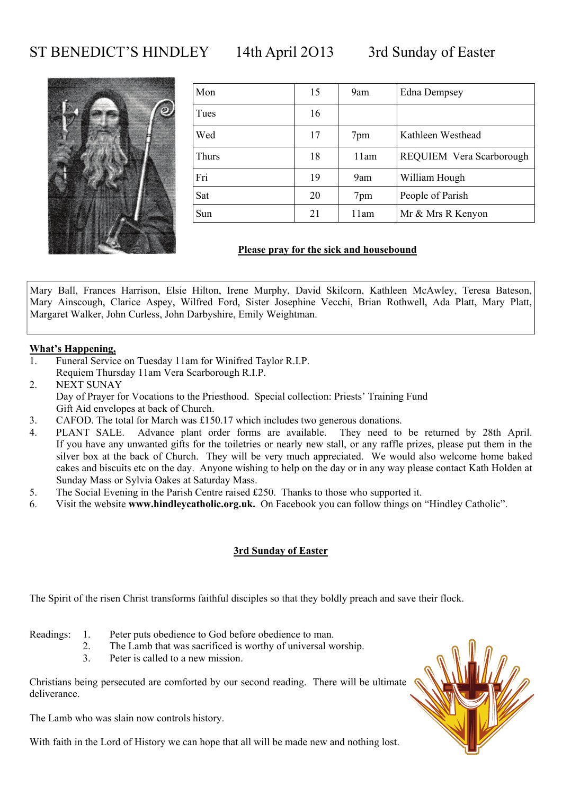### ST BENEDICT'S HINDLEY 14th April 2O13 3rd Sunday of Easter



| Mon   | 15 | 9am  | <b>Edna Dempsey</b>      |
|-------|----|------|--------------------------|
| Tues  | 16 |      |                          |
| Wed   | 17 | 7pm  | Kathleen Westhead        |
| Thurs | 18 | 11am | REQUIEM Vera Scarborough |
| Fri   | 19 | 9am  | William Hough            |
| Sat   | 20 | 7pm  | People of Parish         |
| Sun   | 21 | 11am | Mr & Mrs R Kenyon        |

#### **Please pray for the sick and housebound**

Mary Ball, Frances Harrison, Elsie Hilton, Irene Murphy, David Skilcorn, Kathleen McAwley, Teresa Bateson, Mary Ainscough, Clarice Aspey, Wilfred Ford, Sister Josephine Vecchi, Brian Rothwell, Ada Platt, Mary Platt, Margaret Walker, John Curless, John Darbyshire, Emily Weightman.

#### **What's Happening,**

- 1. Funeral Service on Tuesday 11am for Winifred Taylor R.I.P. Requiem Thursday 11am Vera Scarborough R.I.P.
- 2. NEXT SUNAY Day of Prayer for Vocations to the Priesthood. Special collection: Priests' Training Fund Gift Aid envelopes at back of Church.
- 3. CAFOD. The total for March was £150.17 which includes two generous donations.
- 4. PLANT SALE. Advance plant order forms are available. They need to be returned by 28th April. If you have any unwanted gifts for the toiletries or nearly new stall, or any raffle prizes, please put them in the silver box at the back of Church. They will be very much appreciated. We would also welcome home baked cakes and biscuits etc on the day. Anyone wishing to help on the day or in any way please contact Kath Holden at Sunday Mass or Sylvia Oakes at Saturday Mass.
- 5. The Social Evening in the Parish Centre raised £250. Thanks to those who supported it.
- 6. Visit the website **www.hindleycatholic.org.uk.** On Facebook you can follow things on "Hindley Catholic".

#### **3rd Sunday of Easter**

The Spirit of the risen Christ transforms faithful disciples so that they boldly preach and save their flock.

- Readings: 1. Peter puts obedience to God before obedience to man.
	- 2. The Lamb that was sacrificed is worthy of universal worship.
	- 3. Peter is called to a new mission.

Christians being persecuted are comforted by our second reading. There will be ultimate deliverance.

The Lamb who was slain now controls history.

With faith in the Lord of History we can hope that all will be made new and nothing lost.

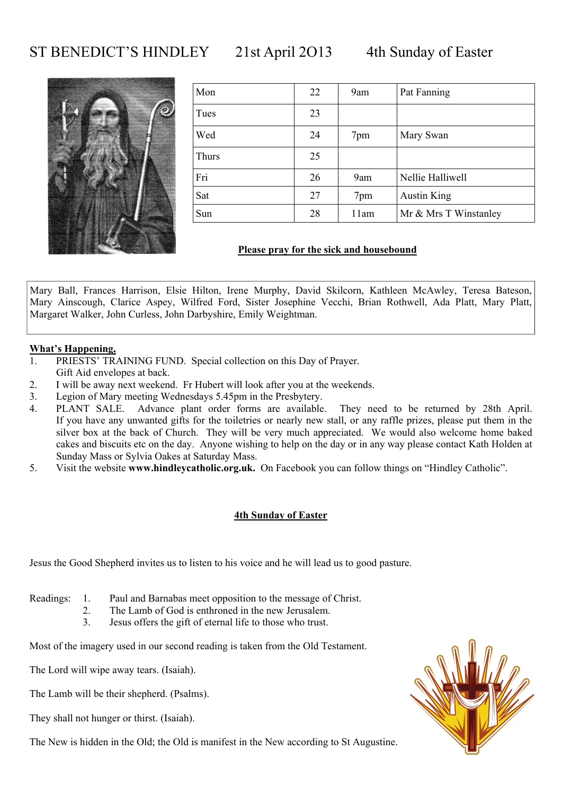### ST BENEDICT'S HINDLEY 21st April 2013 4th Sunday of Easter



| Mon   | 22 | 9am  | Pat Fanning           |
|-------|----|------|-----------------------|
| Tues  | 23 |      |                       |
| Wed   | 24 | 7pm  | Mary Swan             |
| Thurs | 25 |      |                       |
| Fri   | 26 | 9am  | Nellie Halliwell      |
| Sat   | 27 | 7pm  | <b>Austin King</b>    |
| Sun   | 28 | 11am | Mr & Mrs T Winstanley |

#### **Please pray for the sick and housebound**

Mary Ball, Frances Harrison, Elsie Hilton, Irene Murphy, David Skilcorn, Kathleen McAwley, Teresa Bateson, Mary Ainscough, Clarice Aspey, Wilfred Ford, Sister Josephine Vecchi, Brian Rothwell, Ada Platt, Mary Platt, Margaret Walker, John Curless, John Darbyshire, Emily Weightman.

#### **What's Happening,**

- 1. PRIESTS' TRAINING FUND. Special collection on this Day of Prayer. Gift Aid envelopes at back.
- 2. I will be away next weekend. Fr Hubert will look after you at the weekends.
- 3. Legion of Mary meeting Wednesdays 5.45pm in the Presbytery.
- 4. PLANT SALE. Advance plant order forms are available. They need to be returned by 28th April. If you have any unwanted gifts for the toiletries or nearly new stall, or any raffle prizes, please put them in the silver box at the back of Church. They will be very much appreciated. We would also welcome home baked cakes and biscuits etc on the day. Anyone wishing to help on the day or in any way please contact Kath Holden at Sunday Mass or Sylvia Oakes at Saturday Mass.
- 5. Visit the website **www.hindleycatholic.org.uk.** On Facebook you can follow things on "Hindley Catholic".

#### **4th Sunday of Easter**

Jesus the Good Shepherd invites us to listen to his voice and he will lead us to good pasture.

Readings: 1. Paul and Barnabas meet opposition to the message of Christ.

- 2. The Lamb of God is enthroned in the new Jerusalem.
- 3. Jesus offers the gift of eternal life to those who trust.

Most of the imagery used in our second reading is taken from the Old Testament.

The Lord will wipe away tears. (Isaiah).

The Lamb will be their shepherd. (Psalms).

They shall not hunger or thirst. (Isaiah).

The New is hidden in the Old; the Old is manifest in the New according to St Augustine.

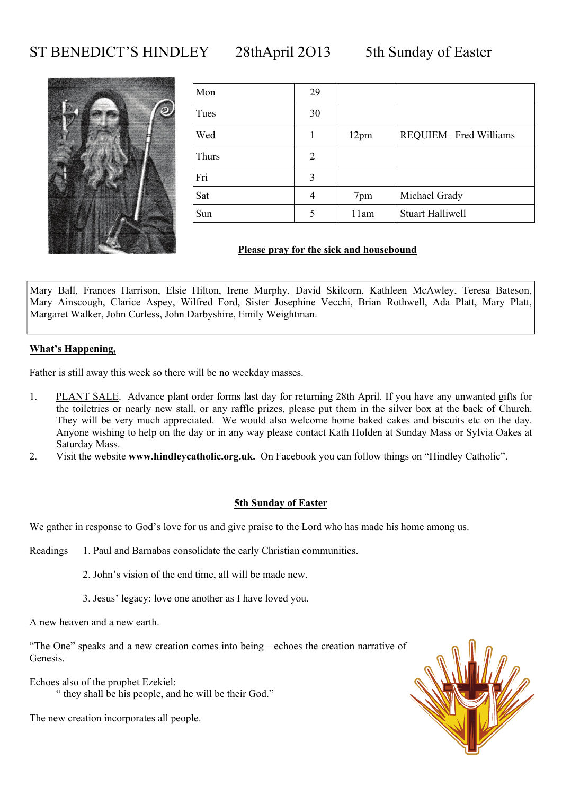### ST BENEDICT'S HINDLEY 28thApril 2013 5th Sunday of Easter



| Mon   | 29 |      |                         |
|-------|----|------|-------------------------|
| Tues  | 30 |      |                         |
| Wed   |    | 12pm | REQUIEM-Fred Williams   |
| Thurs | 2  |      |                         |
| Fri   | 3  |      |                         |
| Sat   | 4  | 7pm  | Michael Grady           |
| Sun   | 5  | 11am | <b>Stuart Halliwell</b> |

#### **Please pray for the sick and housebound**

Mary Ball, Frances Harrison, Elsie Hilton, Irene Murphy, David Skilcorn, Kathleen McAwley, Teresa Bateson, Mary Ainscough, Clarice Aspey, Wilfred Ford, Sister Josephine Vecchi, Brian Rothwell, Ada Platt, Mary Platt, Margaret Walker, John Curless, John Darbyshire, Emily Weightman.

#### **What's Happening,**

Father is still away this week so there will be no weekday masses.

- 1. PLANT SALE. Advance plant order forms last day for returning 28th April. If you have any unwanted gifts for the toiletries or nearly new stall, or any raffle prizes, please put them in the silver box at the back of Church. They will be very much appreciated. We would also welcome home baked cakes and biscuits etc on the day. Anyone wishing to help on the day or in any way please contact Kath Holden at Sunday Mass or Sylvia Oakes at Saturday Mass.
- 2. Visit the website **www.hindleycatholic.org.uk.** On Facebook you can follow things on "Hindley Catholic".

#### **5th Sunday of Easter**

We gather in response to God's love for us and give praise to the Lord who has made his home among us.

Readings 1. Paul and Barnabas consolidate the early Christian communities.

2. John's vision of the end time, all will be made new.

3. Jesus' legacy: love one another as I have loved you.

A new heaven and a new earth.

"The One" speaks and a new creation comes into being—echoes the creation narrative of Genesis.

Echoes also of the prophet Ezekiel: " they shall be his people, and he will be their God."

The new creation incorporates all people.

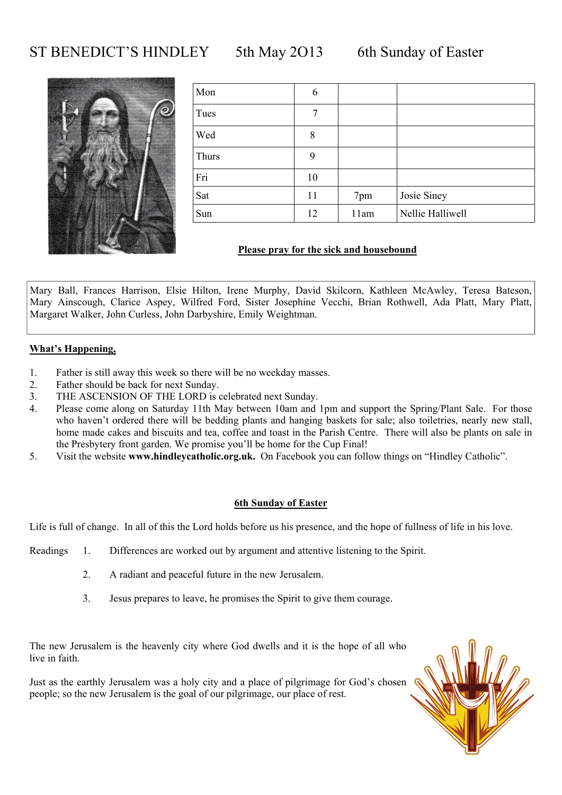### ST BENEDICT'S HINDLEY 5th May 2013 6th Sunday of Easter



| Mon   | 6  |      |                  |
|-------|----|------|------------------|
| Tues  | 7  |      |                  |
| Wed   | 8  |      |                  |
| Thurs | 9  |      |                  |
| Fri   | 10 |      |                  |
| Sat   | 11 | 7pm  | Josie Siney      |
| Sun   | 12 | 11am | Nellie Halliwell |

#### **Please pray for the sick and housebound**

Mary Ball, Frances Harrison, Elsie Hilton, Irene Murphy, David Skilcorn, Kathleen McAwley, Teresa Bateson, Mary Ainscough, Clarice Aspey, Wilfred Ford, Sister Josephine Vecchi, Brian Rothwell, Ada Platt, Mary Platt, Margaret Walker, John Curless, John Darbyshire, Emily Weightman.

#### **What's Happening,**

- 1. Father is still away this week so there will be no weekday masses.
- 2. Father should be back for next Sunday.
- 3. THE ASCENSION OF THE LORD is celebrated next Sunday.
- 4. Please come along on Saturday 11th May between 10am and 1pm and support the Spring/Plant Sale. For those who haven't ordered there will be bedding plants and hanging baskets for sale; also toiletries, nearly new stall, home made cakes and biscuits and tea, coffee and toast in the Parish Centre. There will also be plants on sale in the Presbytery front garden. We promise you'll be home for the Cup Final!
- 5. Visit the website **www.hindleycatholic.org.uk.** On Facebook you can follow things on "Hindley Catholic".

#### **6th Sunday of Easter**

Life is full of change. In all of this the Lord holds before us his presence, and the hope of fullness of life in his love.

- Readings 1. Differences are worked out by argument and attentive listening to the Spirit.
	- 2. A radiant and peaceful future in the new Jerusalem.
	- 3. Jesus prepares to leave, he promises the Spirit to give them courage.

The new Jerusalem is the heavenly city where God dwells and it is the hope of all who live in faith

Just as the earthly Jerusalem was a holy city and a place of pilgrimage for God's chosen people; so the new Jerusalem is the goal of our pilgrimage, our place of rest.

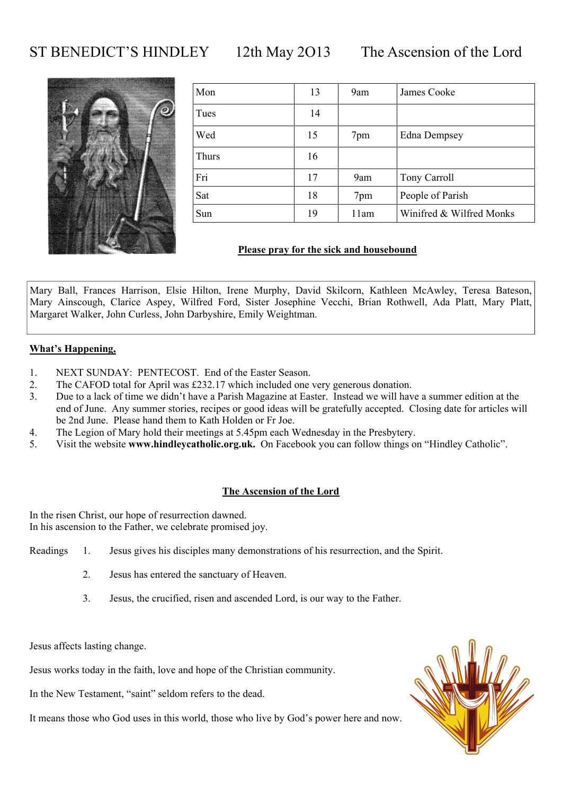### ST BENEDICT'S HINDLEY 12th May 2013 The Ascension of the Lord



| Mon   | 13 | 9am  | James Cooke              |
|-------|----|------|--------------------------|
| Tues  | 14 |      |                          |
| Wed   | 15 | 7pm  | <b>Edna Dempsey</b>      |
| Thurs | 16 |      |                          |
| Fri   | 17 | 9am  | Tony Carroll             |
| Sat   | 18 | 7pm  | People of Parish         |
| Sun   | 19 | 11am | Winifred & Wilfred Monks |

### **Please pray for the sick and housebound**

Mary Ball, Frances Harrison, Elsie Hilton, Irene Murphy, David Skilcorn, Kathleen McAwley, Teresa Bateson, Mary Ainscough, Clarice Aspey, Wilfred Ford, Sister Josephine Vecchi, Brian Rothwell, Ada Platt, Mary Platt, Margaret Walker, John Curless, John Darbyshire, Emily Weightman.

#### **What's Happening,**

- 1. NEXT SUNDAY: PENTECOST. End of the Easter Season.
- 2. The CAFOD total for April was £232.17 which included one very generous donation.
- 3. Due to a lack of time we didn't have a Parish Magazine at Easter. Instead we will have a summer edition at the end of June. Any summer stories, recipes or good ideas will be gratefully accepted. Closing date for articles will be 2nd June. Please hand them to Kath Holden or Fr Joe.
- 4. The Legion of Mary hold their meetings at 5.45pm each Wednesday in the Presbytery.
- 5. Visit the website **www.hindleycatholic.org.uk.** On Facebook you can follow things on "Hindley Catholic".

#### **The Ascension of the Lord**

In the risen Christ, our hope of resurrection dawned. In his ascension to the Father, we celebrate promised joy.

- Readings 1. Jesus gives his disciples many demonstrations of his resurrection, and the Spirit.
	- 2. Jesus has entered the sanctuary of Heaven.
	- 3. Jesus, the crucified, risen and ascended Lord, is our way to the Father.

Jesus affects lasting change.

Jesus works today in the faith, love and hope of the Christian community.

In the New Testament, "saint" seldom refers to the dead.

It means those who God uses in this world, those who live by God's power here and now.

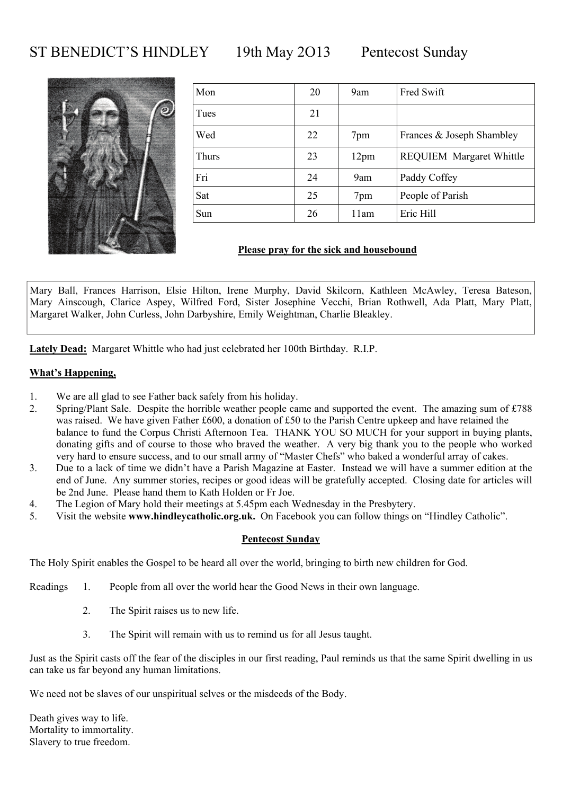### ST BENEDICT'S HINDLEY 19th May 2013 Pentecost Sunday



| Mon   | 20 | 9am  | Fred Swift                      |
|-------|----|------|---------------------------------|
| Tues  | 21 |      |                                 |
| Wed   | 22 | 7pm  | Frances & Joseph Shambley       |
| Thurs | 23 | 12pm | <b>REQUIEM Margaret Whittle</b> |
| Fri   | 24 | 9am  | Paddy Coffey                    |
| Sat   | 25 | 7pm  | People of Parish                |
| Sun   | 26 | 11am | Eric Hill                       |

### **Please pray for the sick and housebound**

Mary Ball, Frances Harrison, Elsie Hilton, Irene Murphy, David Skilcorn, Kathleen McAwley, Teresa Bateson, Mary Ainscough, Clarice Aspey, Wilfred Ford, Sister Josephine Vecchi, Brian Rothwell, Ada Platt, Mary Platt, Margaret Walker, John Curless, John Darbyshire, Emily Weightman, Charlie Bleakley.

**Lately Dead:** Margaret Whittle who had just celebrated her 100th Birthday. R.I.P.

#### **What's Happening,**

- 1. We are all glad to see Father back safely from his holiday.
- 2. Spring/Plant Sale. Despite the horrible weather people came and supported the event. The amazing sum of £788 was raised. We have given Father £600, a donation of £50 to the Parish Centre upkeep and have retained the balance to fund the Corpus Christi Afternoon Tea. THANK YOU SO MUCH for your support in buying plants, donating gifts and of course to those who braved the weather. A very big thank you to the people who worked very hard to ensure success, and to our small army of "Master Chefs" who baked a wonderful array of cakes.
- 3. Due to a lack of time we didn't have a Parish Magazine at Easter. Instead we will have a summer edition at the end of June. Any summer stories, recipes or good ideas will be gratefully accepted. Closing date for articles will be 2nd June. Please hand them to Kath Holden or Fr Joe.
- 4. The Legion of Mary hold their meetings at 5.45pm each Wednesday in the Presbytery.
- 5. Visit the website **www.hindleycatholic.org.uk.** On Facebook you can follow things on "Hindley Catholic".

#### **Pentecost Sunday**

The Holy Spirit enables the Gospel to be heard all over the world, bringing to birth new children for God.

Readings 1. People from all over the world hear the Good News in their own language.

- 2. The Spirit raises us to new life.
- 3. The Spirit will remain with us to remind us for all Jesus taught.

Just as the Spirit casts off the fear of the disciples in our first reading, Paul reminds us that the same Spirit dwelling in us can take us far beyond any human limitations.

We need not be slaves of our unspiritual selves or the misdeeds of the Body.

Death gives way to life. Mortality to immortality. Slavery to true freedom.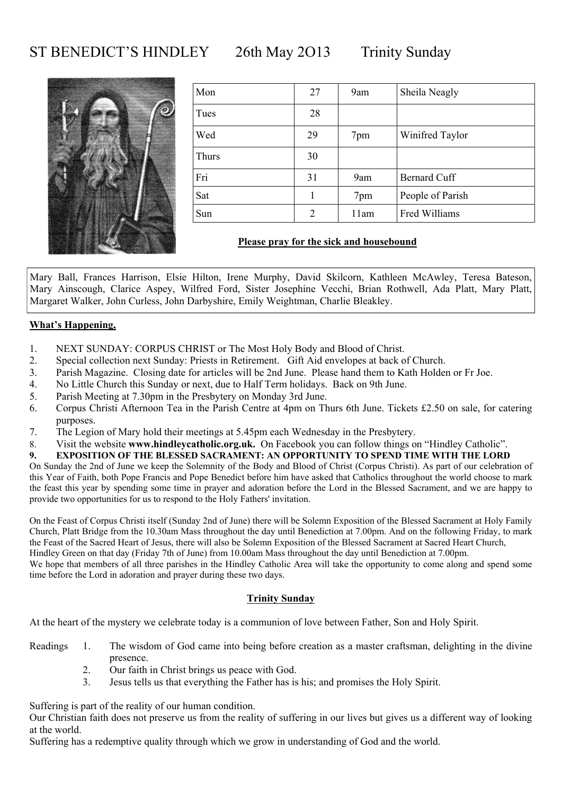### ST BENEDICT'S HINDLEY 26th May 2013 Trinity Sunday



| Mon   | 27             | 9am  | Sheila Neagly       |
|-------|----------------|------|---------------------|
| Tues  | 28             |      |                     |
| Wed   | 29             | 7pm  | Winifred Taylor     |
| Thurs | 30             |      |                     |
| Fri   | 31             | 9am  | <b>Bernard Cuff</b> |
| Sat   |                | 7pm  | People of Parish    |
| Sun   | $\overline{2}$ | 11am | Fred Williams       |

### **Please pray for the sick and housebound**

Mary Ball, Frances Harrison, Elsie Hilton, Irene Murphy, David Skilcorn, Kathleen McAwley, Teresa Bateson, Mary Ainscough, Clarice Aspey, Wilfred Ford, Sister Josephine Vecchi, Brian Rothwell, Ada Platt, Mary Platt, Margaret Walker, John Curless, John Darbyshire, Emily Weightman, Charlie Bleakley.

#### **What's Happening,**

- 1. NEXT SUNDAY: CORPUS CHRIST or The Most Holy Body and Blood of Christ.
- 2. Special collection next Sunday: Priests in Retirement. Gift Aid envelopes at back of Church.
- 3. Parish Magazine. Closing date for articles will be 2nd June. Please hand them to Kath Holden or Fr Joe.
- 4. No Little Church this Sunday or next, due to Half Term holidays. Back on 9th June.
- 5. Parish Meeting at 7.30pm in the Presbytery on Monday 3rd June.
- 6. Corpus Christi Afternoon Tea in the Parish Centre at 4pm on Thurs 6th June. Tickets £2.50 on sale, for catering purposes.
- 7. The Legion of Mary hold their meetings at 5.45pm each Wednesday in the Presbytery.
- 8. Visit the website **www.hindleycatholic.org.uk.** On Facebook you can follow things on "Hindley Catholic".
- **9. EXPOSITION OF THE BLESSED SACRAMENT: AN OPPORTUNITY TO SPEND TIME WITH THE LORD**

On Sunday the 2nd of June we keep the Solemnity of the Body and Blood of Christ (Corpus Christi). As part of our celebration of this Year of Faith, both Pope Francis and Pope Benedict before him have asked that Catholics throughout the world choose to mark the feast this year by spending some time in prayer and adoration before the Lord in the Blessed Sacrament, and we are happy to provide two opportunities for us to respond to the Holy Fathers' invitation.

On the Feast of Corpus Christi itself (Sunday 2nd of June) there will be Solemn Exposition of the Blessed Sacrament at Holy Family Church, Platt Bridge from the 10.30am Mass throughout the day until Benediction at 7.00pm. And on the following Friday, to mark the Feast of the Sacred Heart of Jesus, there will also be Solemn Exposition of the Blessed Sacrament at Sacred Heart Church, Hindley Green on that day (Friday 7th of June) from 10.00am Mass throughout the day until Benediction at 7.00pm. We hope that members of all three parishes in the Hindley Catholic Area will take the opportunity to come along and spend some time before the Lord in adoration and prayer during these two days.

#### **Trinity Sunday**

At the heart of the mystery we celebrate today is a communion of love between Father, Son and Holy Spirit.

- Readings 1. The wisdom of God came into being before creation as a master craftsman, delighting in the divine presence.
	- 2. Our faith in Christ brings us peace with God.
	- 3. Jesus tells us that everything the Father has is his; and promises the Holy Spirit.

Suffering is part of the reality of our human condition.

Our Christian faith does not preserve us from the reality of suffering in our lives but gives us a different way of looking at the world.

Suffering has a redemptive quality through which we grow in understanding of God and the world.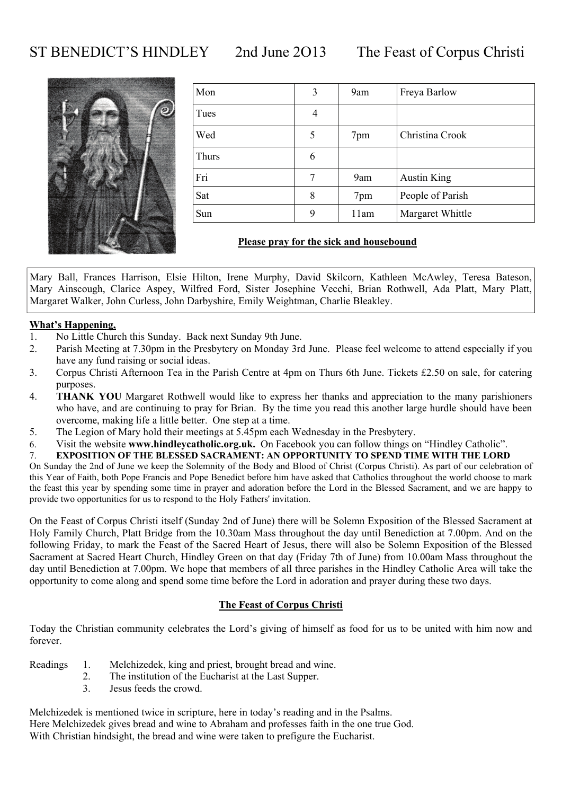ST BENEDICT'S HINDLEY 2nd June 2O13 The Feast of Corpus Christi



| Mon   | 3 | 9am  | Freya Barlow       |
|-------|---|------|--------------------|
| Tues  | 4 |      |                    |
| Wed   | 5 | 7pm  | Christina Crook    |
| Thurs | 6 |      |                    |
| Fri   | 7 | 9am  | <b>Austin King</b> |
| Sat   | 8 | 7pm  | People of Parish   |
| Sun   | 9 | 11am | Margaret Whittle   |

#### **Please pray for the sick and housebound**

Mary Ball, Frances Harrison, Elsie Hilton, Irene Murphy, David Skilcorn, Kathleen McAwley, Teresa Bateson, Mary Ainscough, Clarice Aspey, Wilfred Ford, Sister Josephine Vecchi, Brian Rothwell, Ada Platt, Mary Platt, Margaret Walker, John Curless, John Darbyshire, Emily Weightman, Charlie Bleakley.

#### **What's Happening,**

- 1. No Little Church this Sunday. Back next Sunday 9th June.
- 2. Parish Meeting at 7.30pm in the Presbytery on Monday 3rd June. Please feel welcome to attend especially if you have any fund raising or social ideas.
- 3. Corpus Christi Afternoon Tea in the Parish Centre at 4pm on Thurs 6th June. Tickets £2.50 on sale, for catering purposes.
- 4. **THANK YOU** Margaret Rothwell would like to express her thanks and appreciation to the many parishioners who have, and are continuing to pray for Brian. By the time you read this another large hurdle should have been overcome, making life a little better. One step at a time.
- 5. The Legion of Mary hold their meetings at 5.45pm each Wednesday in the Presbytery.
- 6. Visit the website **www.hindleycatholic.org.uk.** On Facebook you can follow things on "Hindley Catholic".
- 7. **EXPOSITION OF THE BLESSED SACRAMENT: AN OPPORTUNITY TO SPEND TIME WITH THE LORD**

On Sunday the 2nd of June we keep the Solemnity of the Body and Blood of Christ (Corpus Christi). As part of our celebration of this Year of Faith, both Pope Francis and Pope Benedict before him have asked that Catholics throughout the world choose to mark the feast this year by spending some time in prayer and adoration before the Lord in the Blessed Sacrament, and we are happy to provide two opportunities for us to respond to the Holy Fathers' invitation.

On the Feast of Corpus Christi itself (Sunday 2nd of June) there will be Solemn Exposition of the Blessed Sacrament at Holy Family Church, Platt Bridge from the 10.30am Mass throughout the day until Benediction at 7.00pm. And on the following Friday, to mark the Feast of the Sacred Heart of Jesus, there will also be Solemn Exposition of the Blessed Sacrament at Sacred Heart Church, Hindley Green on that day (Friday 7th of June) from 10.00am Mass throughout the day until Benediction at 7.00pm. We hope that members of all three parishes in the Hindley Catholic Area will take the opportunity to come along and spend some time before the Lord in adoration and prayer during these two days.

#### **The Feast of Corpus Christi**

Today the Christian community celebrates the Lord's giving of himself as food for us to be united with him now and forever.

- Readings 1. Melchizedek, king and priest, brought bread and wine.
	- 2. The institution of the Eucharist at the Last Supper.
	- 3. Jesus feeds the crowd.

Melchizedek is mentioned twice in scripture, here in today's reading and in the Psalms. Here Melchizedek gives bread and wine to Abraham and professes faith in the one true God. With Christian hindsight, the bread and wine were taken to prefigure the Eucharist.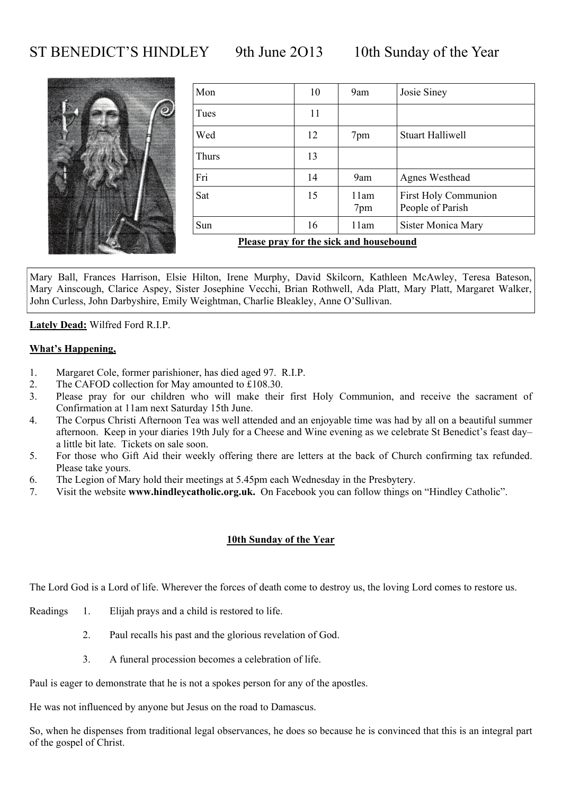### ST BENEDICT'S HINDLEY 9th June 2013 10th Sunday of the Year



| Mon                                     | 10 | 9am         | Josie Siney                                     |  |
|-----------------------------------------|----|-------------|-------------------------------------------------|--|
| Tues                                    | 11 |             |                                                 |  |
| Wed                                     | 12 | 7pm         | <b>Stuart Halliwell</b>                         |  |
| Thurs                                   | 13 |             |                                                 |  |
| Fri                                     | 14 | 9am         | Agnes Westhead                                  |  |
| Sat                                     | 15 | 11am<br>7pm | <b>First Holy Communion</b><br>People of Parish |  |
| Sun                                     | 16 | 11am        | <b>Sister Monica Mary</b>                       |  |
| Please pray for the sick and househound |    |             |                                                 |  |

**Please pray for the sick and housebound**

Mary Ball, Frances Harrison, Elsie Hilton, Irene Murphy, David Skilcorn, Kathleen McAwley, Teresa Bateson, Mary Ainscough, Clarice Aspey, Sister Josephine Vecchi, Brian Rothwell, Ada Platt, Mary Platt, Margaret Walker, John Curless, John Darbyshire, Emily Weightman, Charlie Bleakley, Anne O'Sullivan.

**Lately Dead:** Wilfred Ford R.I.P.

#### **What's Happening,**

- 1. Margaret Cole, former parishioner, has died aged 97. R.I.P.
- 2. The CAFOD collection for May amounted to £108.30.
- 3. Please pray for our children who will make their first Holy Communion, and receive the sacrament of Confirmation at 11am next Saturday 15th June.
- 4. The Corpus Christi Afternoon Tea was well attended and an enjoyable time was had by all on a beautiful summer afternoon. Keep in your diaries 19th July for a Cheese and Wine evening as we celebrate St Benedict's feast day– a little bit late. Tickets on sale soon.
- 5. For those who Gift Aid their weekly offering there are letters at the back of Church confirming tax refunded. Please take yours.
- 6. The Legion of Mary hold their meetings at 5.45pm each Wednesday in the Presbytery.
- 7. Visit the website **www.hindleycatholic.org.uk.** On Facebook you can follow things on "Hindley Catholic".

#### **10th Sunday of the Year**

The Lord God is a Lord of life. Wherever the forces of death come to destroy us, the loving Lord comes to restore us.

- Readings 1. Elijah prays and a child is restored to life.
	- 2. Paul recalls his past and the glorious revelation of God.
	- 3. A funeral procession becomes a celebration of life.

Paul is eager to demonstrate that he is not a spokes person for any of the apostles.

He was not influenced by anyone but Jesus on the road to Damascus.

So, when he dispenses from traditional legal observances, he does so because he is convinced that this is an integral part of the gospel of Christ.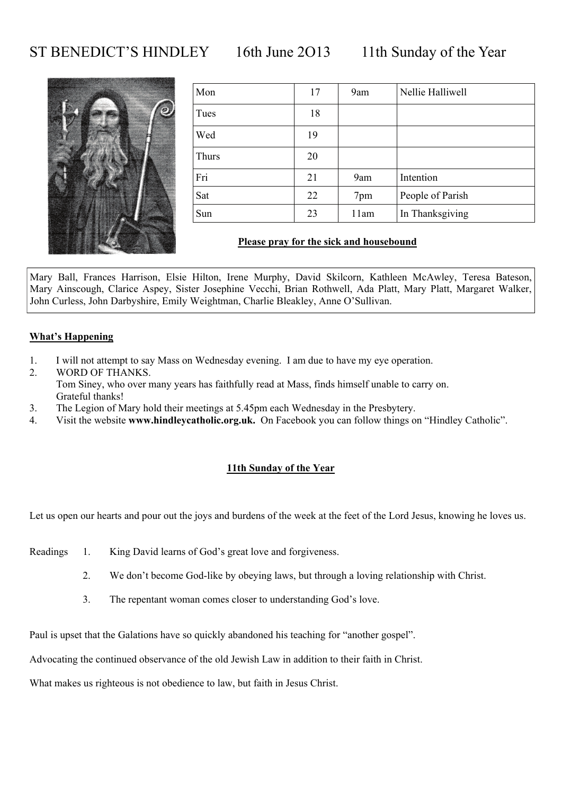### ST BENEDICT'S HINDLEY 16th June 2013 11th Sunday of the Year



| Mon   | 17 | 9am  | Nellie Halliwell |
|-------|----|------|------------------|
| Tues  | 18 |      |                  |
| Wed   | 19 |      |                  |
| Thurs | 20 |      |                  |
| Fri   | 21 | 9am  | Intention        |
| Sat   | 22 | 7pm  | People of Parish |
| Sun   | 23 | 11am | In Thanksgiving  |

#### **Please pray for the sick and housebound**

Mary Ball, Frances Harrison, Elsie Hilton, Irene Murphy, David Skilcorn, Kathleen McAwley, Teresa Bateson, Mary Ainscough, Clarice Aspey, Sister Josephine Vecchi, Brian Rothwell, Ada Platt, Mary Platt, Margaret Walker, John Curless, John Darbyshire, Emily Weightman, Charlie Bleakley, Anne O'Sullivan.

#### **What's Happening**

- 1. I will not attempt to say Mass on Wednesday evening. I am due to have my eye operation.
- 2. WORD OF THANKS. Tom Siney, who over many years has faithfully read at Mass, finds himself unable to carry on. Grateful thanks!
- 3. The Legion of Mary hold their meetings at 5.45pm each Wednesday in the Presbytery.
- 4. Visit the website **www.hindleycatholic.org.uk.** On Facebook you can follow things on "Hindley Catholic".

#### **11th Sunday of the Year**

Let us open our hearts and pour out the joys and burdens of the week at the feet of the Lord Jesus, knowing he loves us.

- Readings 1. King David learns of God's great love and forgiveness.
	- 2. We don't become God-like by obeying laws, but through a loving relationship with Christ.
	- 3. The repentant woman comes closer to understanding God's love.

Paul is upset that the Galations have so quickly abandoned his teaching for "another gospel".

Advocating the continued observance of the old Jewish Law in addition to their faith in Christ.

What makes us righteous is not obedience to law, but faith in Jesus Christ.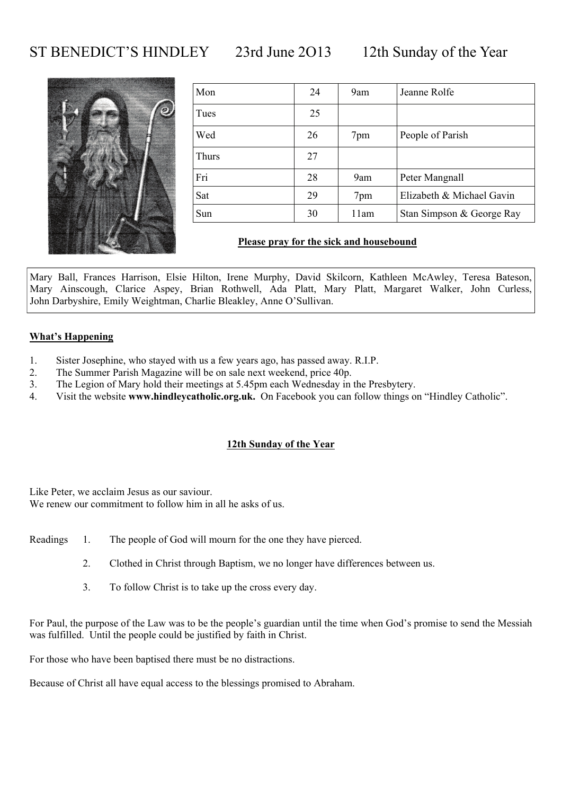### ST BENEDICT'S HINDLEY 23rd June 2013 12th Sunday of the Year



| Mon   | 24 | 9am  | Jeanne Rolfe              |
|-------|----|------|---------------------------|
| Tues  | 25 |      |                           |
| Wed   | 26 | 7pm  | People of Parish          |
| Thurs | 27 |      |                           |
| Fri   | 28 | 9am  | Peter Mangnall            |
| Sat   | 29 | 7pm  | Elizabeth & Michael Gavin |
| Sun   | 30 | 11am | Stan Simpson & George Ray |

### **Please pray for the sick and housebound**

Mary Ball, Frances Harrison, Elsie Hilton, Irene Murphy, David Skilcorn, Kathleen McAwley, Teresa Bateson, Mary Ainscough, Clarice Aspey, Brian Rothwell, Ada Platt, Mary Platt, Margaret Walker, John Curless, John Darbyshire, Emily Weightman, Charlie Bleakley, Anne O'Sullivan.

#### **What's Happening**

- 1. Sister Josephine, who stayed with us a few years ago, has passed away. R.I.P.
- 2. The Summer Parish Magazine will be on sale next weekend, price 40p.
- 3. The Legion of Mary hold their meetings at 5.45pm each Wednesday in the Presbytery.
- 4. Visit the website **www.hindleycatholic.org.uk.** On Facebook you can follow things on "Hindley Catholic".

#### **12th Sunday of the Year**

Like Peter, we acclaim Jesus as our saviour. We renew our commitment to follow him in all he asks of us.

- Readings 1. The people of God will mourn for the one they have pierced.
	- 2. Clothed in Christ through Baptism, we no longer have differences between us.
	- 3. To follow Christ is to take up the cross every day.

For Paul, the purpose of the Law was to be the people's guardian until the time when God's promise to send the Messiah was fulfilled. Until the people could be justified by faith in Christ.

For those who have been baptised there must be no distractions.

Because of Christ all have equal access to the blessings promised to Abraham.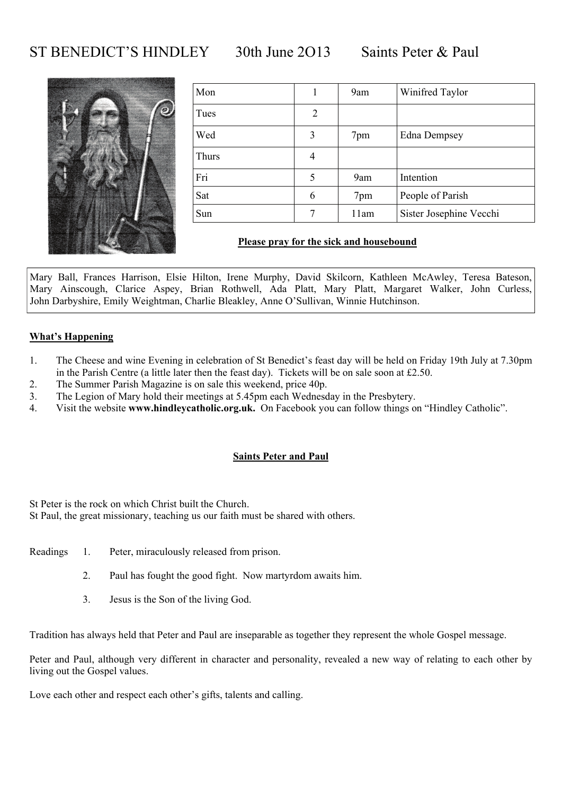### ST BENEDICT'S HINDLEY 30th June 2013 Saints Peter & Paul



| Mon   |   | 9am  | Winifred Taylor         |
|-------|---|------|-------------------------|
| Tues  | 2 |      |                         |
| Wed   | 3 | 7pm  | <b>Edna Dempsey</b>     |
| Thurs | 4 |      |                         |
| Fri   | 5 | 9am  | Intention               |
| Sat   | 6 | 7pm  | People of Parish        |
| Sun   |   | 11am | Sister Josephine Vecchi |

#### **Please pray for the sick and housebound**

Mary Ball, Frances Harrison, Elsie Hilton, Irene Murphy, David Skilcorn, Kathleen McAwley, Teresa Bateson, Mary Ainscough, Clarice Aspey, Brian Rothwell, Ada Platt, Mary Platt, Margaret Walker, John Curless, John Darbyshire, Emily Weightman, Charlie Bleakley, Anne O'Sullivan, Winnie Hutchinson.

### **What's Happening**

- 1. The Cheese and wine Evening in celebration of St Benedict's feast day will be held on Friday 19th July at 7.30pm in the Parish Centre (a little later then the feast day). Tickets will be on sale soon at £2.50.
- 2. The Summer Parish Magazine is on sale this weekend, price 40p.
- 3. The Legion of Mary hold their meetings at 5.45pm each Wednesday in the Presbytery.
- 4. Visit the website **www.hindleycatholic.org.uk.** On Facebook you can follow things on "Hindley Catholic".

#### **Saints Peter and Paul**

St Peter is the rock on which Christ built the Church.

St Paul, the great missionary, teaching us our faith must be shared with others.

- Readings 1. Peter, miraculously released from prison.
	- 2. Paul has fought the good fight. Now martyrdom awaits him.
	- 3. Jesus is the Son of the living God.

Tradition has always held that Peter and Paul are inseparable as together they represent the whole Gospel message.

Peter and Paul, although very different in character and personality, revealed a new way of relating to each other by living out the Gospel values.

Love each other and respect each other's gifts, talents and calling.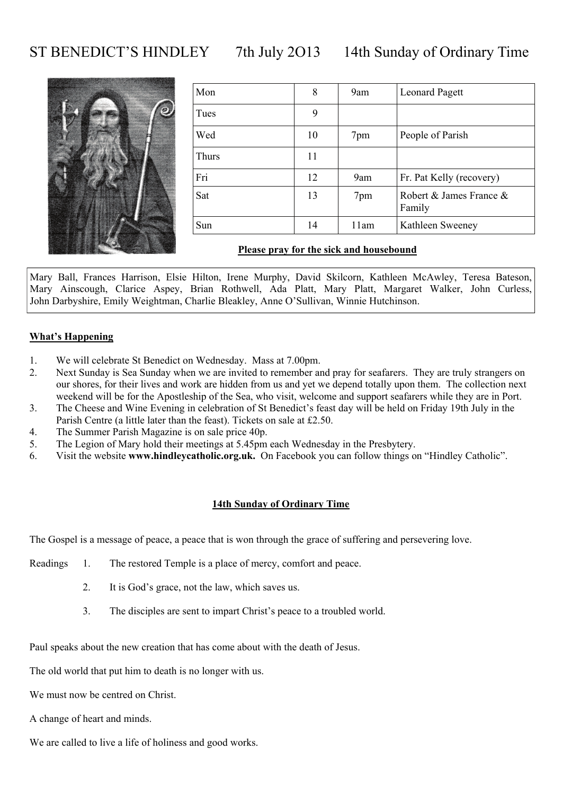ST BENEDICT'S HINDLEY 7th July 2013 14th Sunday of Ordinary Time



| Mon   | 8  | 9am  | <b>Leonard Pagett</b>             |
|-------|----|------|-----------------------------------|
| Tues  | 9  |      |                                   |
| Wed   | 10 | 7pm  | People of Parish                  |
| Thurs | 11 |      |                                   |
| Fri   | 12 | 9am  | Fr. Pat Kelly (recovery)          |
| Sat   | 13 | 7pm  | Robert & James France &<br>Family |
| Sun   | 14 | 11am | Kathleen Sweeney                  |
|       |    |      |                                   |

#### **Please pray for the sick and housebound**

Mary Ball, Frances Harrison, Elsie Hilton, Irene Murphy, David Skilcorn, Kathleen McAwley, Teresa Bateson, Mary Ainscough, Clarice Aspey, Brian Rothwell, Ada Platt, Mary Platt, Margaret Walker, John Curless, John Darbyshire, Emily Weightman, Charlie Bleakley, Anne O'Sullivan, Winnie Hutchinson.

#### **What's Happening**

- 1. We will celebrate St Benedict on Wednesday. Mass at 7.00pm.
- 2. Next Sunday is Sea Sunday when we are invited to remember and pray for seafarers. They are truly strangers on our shores, for their lives and work are hidden from us and yet we depend totally upon them. The collection next weekend will be for the Apostleship of the Sea, who visit, welcome and support seafarers while they are in Port.
- 3. The Cheese and Wine Evening in celebration of St Benedict's feast day will be held on Friday 19th July in the Parish Centre (a little later than the feast). Tickets on sale at £2.50.
- 4. The Summer Parish Magazine is on sale price 40p.
- 5. The Legion of Mary hold their meetings at 5.45pm each Wednesday in the Presbytery.
- 6. Visit the website **www.hindleycatholic.org.uk.** On Facebook you can follow things on "Hindley Catholic".

#### **14th Sunday of Ordinary Time**

The Gospel is a message of peace, a peace that is won through the grace of suffering and persevering love.

- Readings 1. The restored Temple is a place of mercy, comfort and peace.
	- 2. It is God's grace, not the law, which saves us.
	- 3. The disciples are sent to impart Christ's peace to a troubled world.

Paul speaks about the new creation that has come about with the death of Jesus.

The old world that put him to death is no longer with us.

We must now be centred on Christ.

A change of heart and minds.

We are called to live a life of holiness and good works.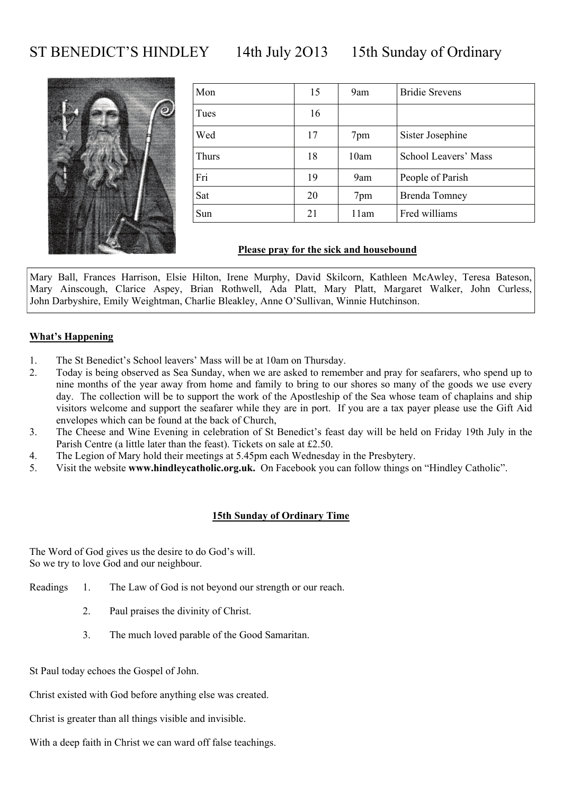### ST BENEDICT'S HINDLEY 14th July 2013 15th Sunday of Ordinary



| Mon   | 15 | 9am  | <b>Bridie Srevens</b> |
|-------|----|------|-----------------------|
| Tues  | 16 |      |                       |
| Wed   | 17 | 7pm  | Sister Josephine      |
| Thurs | 18 | 10am | School Leavers' Mass  |
| Fri   | 19 | 9am  | People of Parish      |
| Sat   | 20 | 7pm  | <b>Brenda Tomney</b>  |
| Sun   | 21 | 11am | Fred williams         |

#### **Please pray for the sick and housebound**

Mary Ball, Frances Harrison, Elsie Hilton, Irene Murphy, David Skilcorn, Kathleen McAwley, Teresa Bateson, Mary Ainscough, Clarice Aspey, Brian Rothwell, Ada Platt, Mary Platt, Margaret Walker, John Curless, John Darbyshire, Emily Weightman, Charlie Bleakley, Anne O'Sullivan, Winnie Hutchinson.

### **What's Happening**

- 1. The St Benedict's School leavers' Mass will be at 10am on Thursday.
- 2. Today is being observed as Sea Sunday, when we are asked to remember and pray for seafarers, who spend up to nine months of the year away from home and family to bring to our shores so many of the goods we use every day. The collection will be to support the work of the Apostleship of the Sea whose team of chaplains and ship visitors welcome and support the seafarer while they are in port. If you are a tax payer please use the Gift Aid envelopes which can be found at the back of Church,
- 3. The Cheese and Wine Evening in celebration of St Benedict's feast day will be held on Friday 19th July in the Parish Centre (a little later than the feast). Tickets on sale at £2.50.
- 4. The Legion of Mary hold their meetings at 5.45pm each Wednesday in the Presbytery.
- 5. Visit the website **www.hindleycatholic.org.uk.** On Facebook you can follow things on "Hindley Catholic".

#### **15th Sunday of Ordinary Time**

The Word of God gives us the desire to do God's will. So we try to love God and our neighbour.

- Readings 1. The Law of God is not beyond our strength or our reach.
	- 2. Paul praises the divinity of Christ.
	- 3. The much loved parable of the Good Samaritan.
- St Paul today echoes the Gospel of John.

Christ existed with God before anything else was created.

Christ is greater than all things visible and invisible.

With a deep faith in Christ we can ward off false teachings.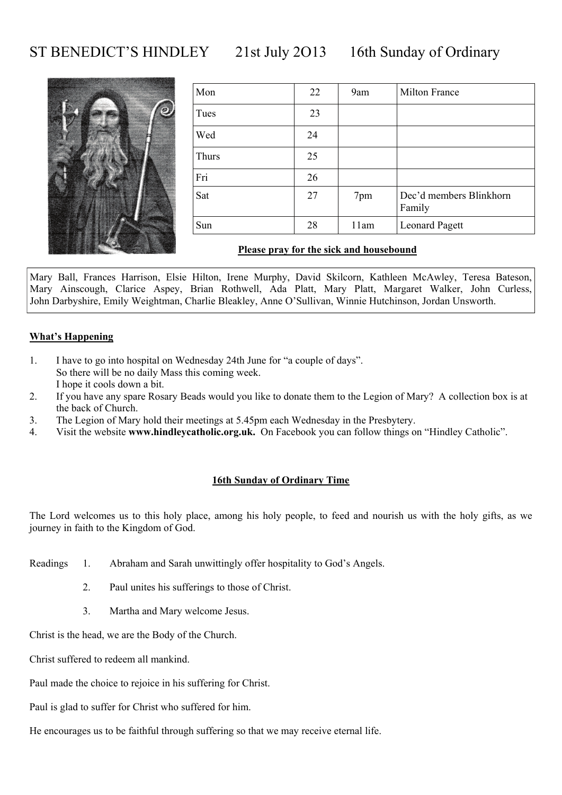# ST BENEDICT'S HINDLEY 21st July 2013 16th Sunday of Ordinary



| Mon   | 22 | 9am  | Milton France                     |
|-------|----|------|-----------------------------------|
| Tues  | 23 |      |                                   |
| Wed   | 24 |      |                                   |
| Thurs | 25 |      |                                   |
| Fri   | 26 |      |                                   |
| Sat   | 27 | 7pm  | Dec'd members Blinkhorn<br>Family |
| Sun   | 28 | 11am | <b>Leonard Pagett</b>             |

#### **Please pray for the sick and housebound**

Mary Ball, Frances Harrison, Elsie Hilton, Irene Murphy, David Skilcorn, Kathleen McAwley, Teresa Bateson, Mary Ainscough, Clarice Aspey, Brian Rothwell, Ada Platt, Mary Platt, Margaret Walker, John Curless, John Darbyshire, Emily Weightman, Charlie Bleakley, Anne O'Sullivan, Winnie Hutchinson, Jordan Unsworth.

#### **What's Happening**

- 1. I have to go into hospital on Wednesday 24th June for "a couple of days". So there will be no daily Mass this coming week. I hope it cools down a bit.
- 2. If you have any spare Rosary Beads would you like to donate them to the Legion of Mary? A collection box is at the back of Church.
- 3. The Legion of Mary hold their meetings at 5.45pm each Wednesday in the Presbytery.
- 4. Visit the website **www.hindleycatholic.org.uk.** On Facebook you can follow things on "Hindley Catholic".

#### **16th Sunday of Ordinary Time**

The Lord welcomes us to this holy place, among his holy people, to feed and nourish us with the holy gifts, as we journey in faith to the Kingdom of God.

- Readings 1. Abraham and Sarah unwittingly offer hospitality to God's Angels.
	- 2. Paul unites his sufferings to those of Christ.
	- 3. Martha and Mary welcome Jesus.

Christ is the head, we are the Body of the Church.

Christ suffered to redeem all mankind.

Paul made the choice to rejoice in his suffering for Christ.

Paul is glad to suffer for Christ who suffered for him.

He encourages us to be faithful through suffering so that we may receive eternal life.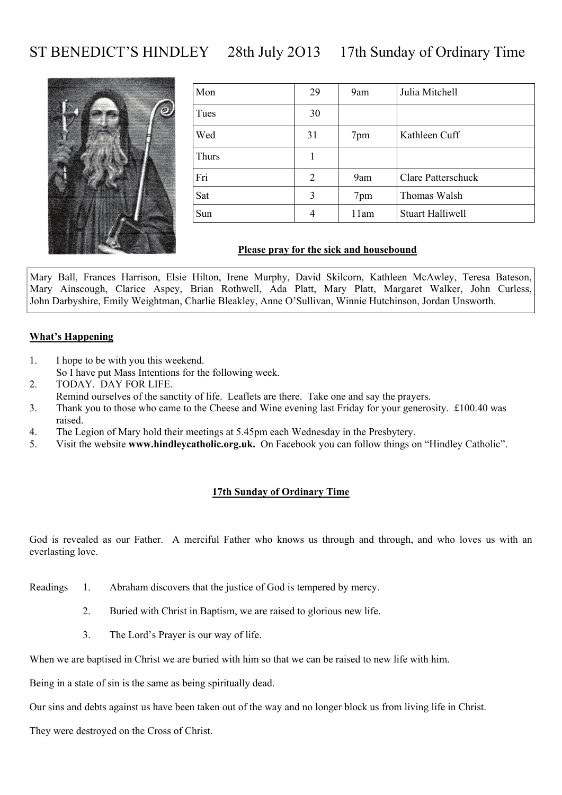# ST BENEDICT'S HINDLEY 28th July 2O13 17th Sunday of Ordinary Time



| Mon   | 29 | 9am  | Julia Mitchell          |
|-------|----|------|-------------------------|
| Tues  | 30 |      |                         |
| Wed   | 31 | 7pm  | Kathleen Cuff           |
| Thurs |    |      |                         |
| Fri   | 2  | 9am  | Clare Patterschuck      |
| Sat   | 3  | 7pm  | Thomas Walsh            |
| Sun   | 4  | 11am | <b>Stuart Halliwell</b> |

#### **Please pray for the sick and housebound**

Mary Ball, Frances Harrison, Elsie Hilton, Irene Murphy, David Skilcorn, Kathleen McAwley, Teresa Bateson, Mary Ainscough, Clarice Aspey, Brian Rothwell, Ada Platt, Mary Platt, Margaret Walker, John Curless, John Darbyshire, Emily Weightman, Charlie Bleakley, Anne O'Sullivan, Winnie Hutchinson, Jordan Unsworth.

#### **What's Happening**

- 1. I hope to be with you this weekend. So I have put Mass Intentions for the following week.
- 2. TODAY. DAY FOR LIFE.
- Remind ourselves of the sanctity of life. Leaflets are there. Take one and say the prayers.
- 3. Thank you to those who came to the Cheese and Wine evening last Friday for your generosity. £100.40 was raised.
- 4. The Legion of Mary hold their meetings at 5.45pm each Wednesday in the Presbytery.
- 5. Visit the website **www.hindleycatholic.org.uk.** On Facebook you can follow things on "Hindley Catholic".

#### **17th Sunday of Ordinary Time**

God is revealed as our Father. A merciful Father who knows us through and through, and who loves us with an everlasting love.

- Readings 1. Abraham discovers that the justice of God is tempered by mercy.
	- 2. Buried with Christ in Baptism, we are raised to glorious new life.
	- 3. The Lord's Prayer is our way of life.

When we are baptised in Christ we are buried with him so that we can be raised to new life with him.

Being in a state of sin is the same as being spiritually dead.

Our sins and debts against us have been taken out of the way and no longer block us from living life in Christ.

They were destroyed on the Cross of Christ.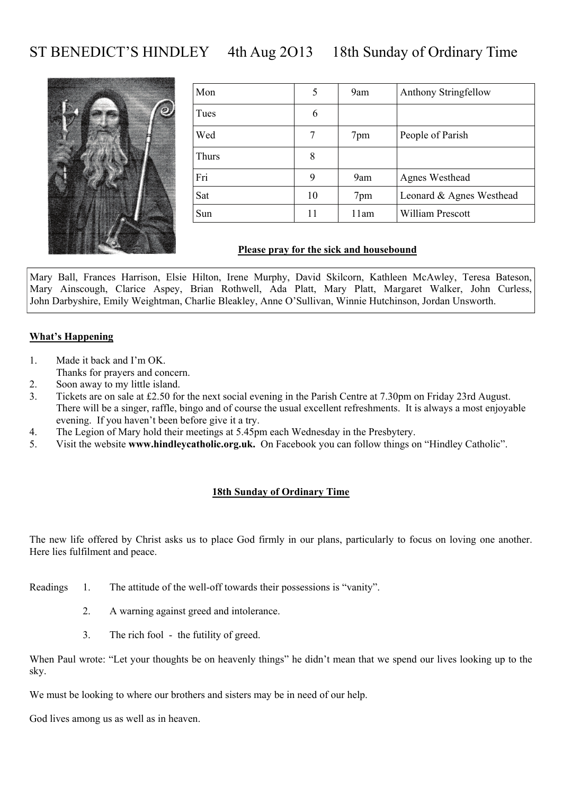# ST BENEDICT'S HINDLEY 4th Aug 2013 18th Sunday of Ordinary Time



| Mon   | 5  | 9am  | Anthony Stringfellow     |
|-------|----|------|--------------------------|
| Tues  | 6  |      |                          |
| Wed   |    | 7pm  | People of Parish         |
| Thurs | 8  |      |                          |
| Fri   | 9  | 9am  | Agnes Westhead           |
| Sat   | 10 | 7pm  | Leonard & Agnes Westhead |
| Sun   | 11 | 11am | William Prescott         |

#### **Please pray for the sick and housebound**

Mary Ball, Frances Harrison, Elsie Hilton, Irene Murphy, David Skilcorn, Kathleen McAwley, Teresa Bateson, Mary Ainscough, Clarice Aspey, Brian Rothwell, Ada Platt, Mary Platt, Margaret Walker, John Curless, John Darbyshire, Emily Weightman, Charlie Bleakley, Anne O'Sullivan, Winnie Hutchinson, Jordan Unsworth.

#### **What's Happening**

- 1. Made it back and I'm OK.
- Thanks for prayers and concern.
- 2. Soon away to my little island.
- 3. Tickets are on sale at £2.50 for the next social evening in the Parish Centre at 7.30pm on Friday 23rd August. There will be a singer, raffle, bingo and of course the usual excellent refreshments. It is always a most enjoyable evening. If you haven't been before give it a try.
- 4. The Legion of Mary hold their meetings at 5.45pm each Wednesday in the Presbytery.
- 5. Visit the website **www.hindleycatholic.org.uk.** On Facebook you can follow things on "Hindley Catholic".

#### **18th Sunday of Ordinary Time**

The new life offered by Christ asks us to place God firmly in our plans, particularly to focus on loving one another. Here lies fulfilment and peace.

- Readings 1. The attitude of the well-off towards their possessions is "vanity".
	- 2. A warning against greed and intolerance.
	- 3. The rich fool the futility of greed.

When Paul wrote: "Let your thoughts be on heavenly things" he didn't mean that we spend our lives looking up to the sky.

We must be looking to where our brothers and sisters may be in need of our help.

God lives among us as well as in heaven.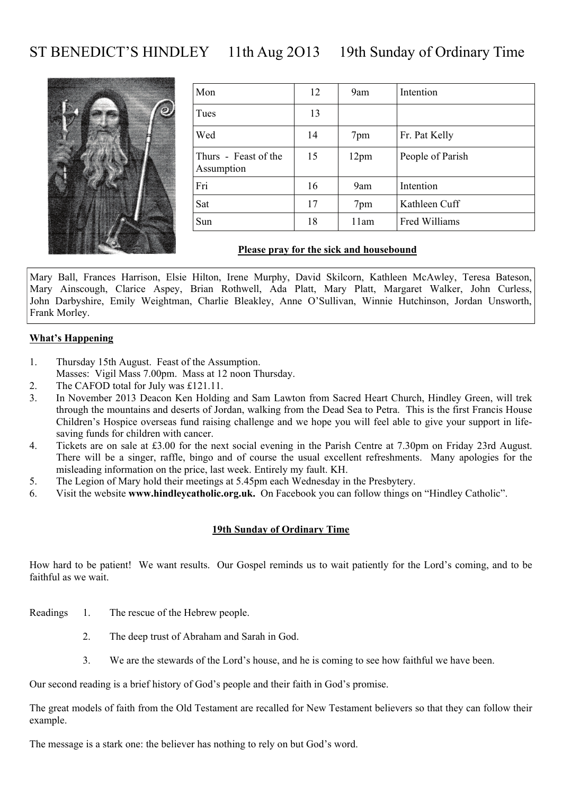# ST BENEDICT'S HINDLEY 11th Aug 2013 19th Sunday of Ordinary Time



| Mon                                | 12 | 9am              | Intention        |
|------------------------------------|----|------------------|------------------|
| Tues                               | 13 |                  |                  |
| Wed                                | 14 | 7pm              | Fr. Pat Kelly    |
| Thurs - Feast of the<br>Assumption | 15 | 12 <sub>pm</sub> | People of Parish |
| Fri                                | 16 | 9am              | Intention        |
| Sat                                | 17 | 7pm              | Kathleen Cuff    |
| Sun                                | 18 | 11am             | Fred Williams    |

#### **Please pray for the sick and housebound**

Mary Ball, Frances Harrison, Elsie Hilton, Irene Murphy, David Skilcorn, Kathleen McAwley, Teresa Bateson, Mary Ainscough, Clarice Aspey, Brian Rothwell, Ada Platt, Mary Platt, Margaret Walker, John Curless, John Darbyshire, Emily Weightman, Charlie Bleakley, Anne O'Sullivan, Winnie Hutchinson, Jordan Unsworth, Frank Morley.

#### **What's Happening**

- 1. Thursday 15th August. Feast of the Assumption.
- Masses: Vigil Mass 7.00pm. Mass at 12 noon Thursday.
- 2. The CAFOD total for July was £121.11.
- 3. In November 2013 Deacon Ken Holding and Sam Lawton from Sacred Heart Church, Hindley Green, will trek through the mountains and deserts of Jordan, walking from the Dead Sea to Petra. This is the first Francis House Children's Hospice overseas fund raising challenge and we hope you will feel able to give your support in lifesaving funds for children with cancer.
- 4. Tickets are on sale at £3.00 for the next social evening in the Parish Centre at 7.30pm on Friday 23rd August. There will be a singer, raffle, bingo and of course the usual excellent refreshments. Many apologies for the misleading information on the price, last week. Entirely my fault. KH.
- 5. The Legion of Mary hold their meetings at 5.45pm each Wednesday in the Presbytery.
- 6. Visit the website **www.hindleycatholic.org.uk.** On Facebook you can follow things on "Hindley Catholic".

#### **19th Sunday of Ordinary Time**

How hard to be patient! We want results. Our Gospel reminds us to wait patiently for the Lord's coming, and to be faithful as we wait.

- Readings 1. The rescue of the Hebrew people.
	- 2. The deep trust of Abraham and Sarah in God.
	- 3. We are the stewards of the Lord's house, and he is coming to see how faithful we have been.

Our second reading is a brief history of God's people and their faith in God's promise.

The great models of faith from the Old Testament are recalled for New Testament believers so that they can follow their example.

The message is a stark one: the believer has nothing to rely on but God's word.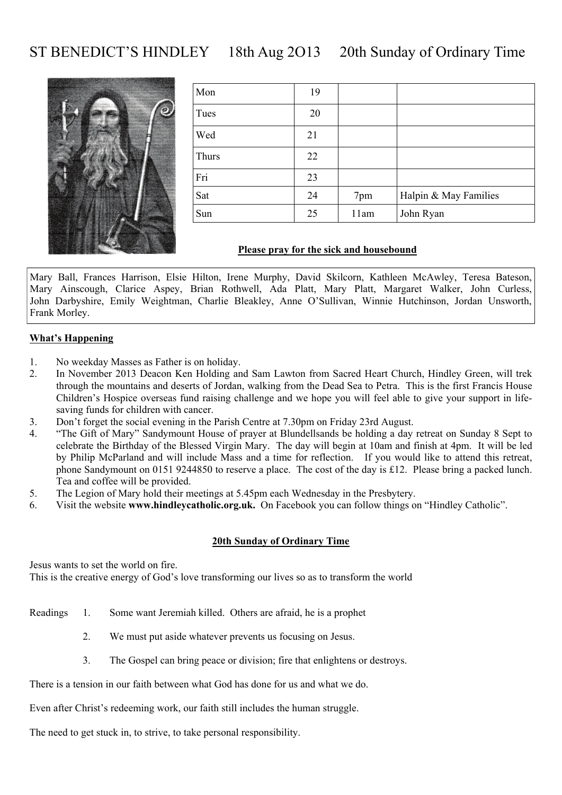# ST BENEDICT'S HINDLEY 18th Aug 2O13 20th Sunday of Ordinary Time



| Mon   | 19 |      |                       |
|-------|----|------|-----------------------|
| Tues  | 20 |      |                       |
| Wed   | 21 |      |                       |
| Thurs | 22 |      |                       |
| Fri   | 23 |      |                       |
| Sat   | 24 | 7pm  | Halpin & May Families |
| Sun   | 25 | 11am | John Ryan             |

#### **Please pray for the sick and housebound**

Mary Ball, Frances Harrison, Elsie Hilton, Irene Murphy, David Skilcorn, Kathleen McAwley, Teresa Bateson, Mary Ainscough, Clarice Aspey, Brian Rothwell, Ada Platt, Mary Platt, Margaret Walker, John Curless, John Darbyshire, Emily Weightman, Charlie Bleakley, Anne O'Sullivan, Winnie Hutchinson, Jordan Unsworth, Frank Morley.

#### **What's Happening**

- 1. No weekday Masses as Father is on holiday.
- 2. In November 2013 Deacon Ken Holding and Sam Lawton from Sacred Heart Church, Hindley Green, will trek through the mountains and deserts of Jordan, walking from the Dead Sea to Petra. This is the first Francis House Children's Hospice overseas fund raising challenge and we hope you will feel able to give your support in lifesaving funds for children with cancer.
- 3. Don't forget the social evening in the Parish Centre at 7.30pm on Friday 23rd August.
- 4. "The Gift of Mary" Sandymount House of prayer at Blundellsands be holding a day retreat on Sunday 8 Sept to celebrate the Birthday of the Blessed Virgin Mary. The day will begin at 10am and finish at 4pm. It will be led by Philip McParland and will include Mass and a time for reflection. If you would like to attend this retreat, phone Sandymount on 0151 9244850 to reserve a place. The cost of the day is £12. Please bring a packed lunch. Tea and coffee will be provided.
- 5. The Legion of Mary hold their meetings at 5.45pm each Wednesday in the Presbytery.
- 6. Visit the website **www.hindleycatholic.org.uk.** On Facebook you can follow things on "Hindley Catholic".

#### **20th Sunday of Ordinary Time**

Jesus wants to set the world on fire. This is the creative energy of God's love transforming our lives so as to transform the world

- Readings 1. Some want Jeremiah killed. Others are afraid, he is a prophet
	- 2. We must put aside whatever prevents us focusing on Jesus.
	- 3. The Gospel can bring peace or division; fire that enlightens or destroys.

There is a tension in our faith between what God has done for us and what we do.

Even after Christ's redeeming work, our faith still includes the human struggle.

The need to get stuck in, to strive, to take personal responsibility.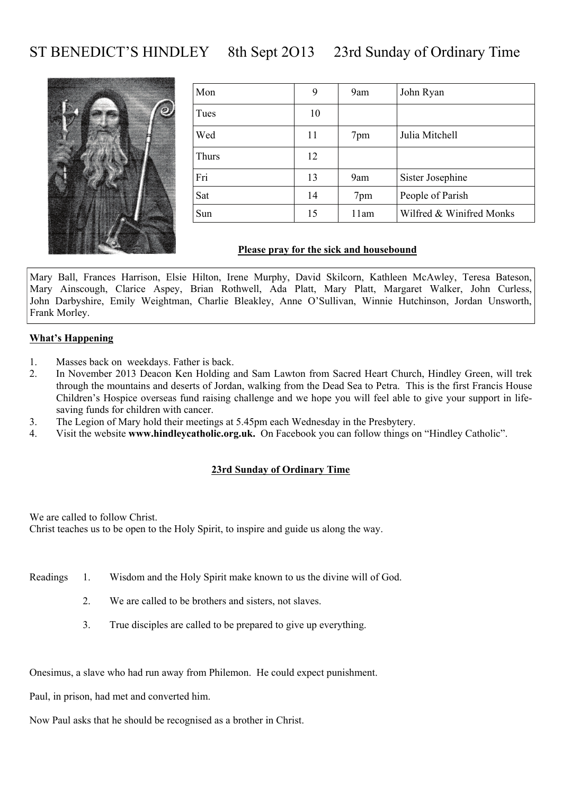# ST BENEDICT'S HINDLEY 8th Sept 2013 23rd Sunday of Ordinary Time



| Mon   | 9  | 9am  | John Ryan                |
|-------|----|------|--------------------------|
| Tues  | 10 |      |                          |
| Wed   | 11 | 7pm  | Julia Mitchell           |
| Thurs | 12 |      |                          |
| Fri   | 13 | 9am  | Sister Josephine         |
| Sat   | 14 | 7pm  | People of Parish         |
| Sun   | 15 | 11am | Wilfred & Winifred Monks |

#### **Please pray for the sick and housebound**

Mary Ball, Frances Harrison, Elsie Hilton, Irene Murphy, David Skilcorn, Kathleen McAwley, Teresa Bateson, Mary Ainscough, Clarice Aspey, Brian Rothwell, Ada Platt, Mary Platt, Margaret Walker, John Curless, John Darbyshire, Emily Weightman, Charlie Bleakley, Anne O'Sullivan, Winnie Hutchinson, Jordan Unsworth, Frank Morley.

#### **What's Happening**

- 1. Masses back on weekdays. Father is back.
- 2. In November 2013 Deacon Ken Holding and Sam Lawton from Sacred Heart Church, Hindley Green, will trek through the mountains and deserts of Jordan, walking from the Dead Sea to Petra. This is the first Francis House Children's Hospice overseas fund raising challenge and we hope you will feel able to give your support in lifesaving funds for children with cancer.
- 3. The Legion of Mary hold their meetings at 5.45pm each Wednesday in the Presbytery.
- 4. Visit the website **www.hindleycatholic.org.uk.** On Facebook you can follow things on "Hindley Catholic".

#### **23rd Sunday of Ordinary Time**

We are called to follow Christ. Christ teaches us to be open to the Holy Spirit, to inspire and guide us along the way.

- Readings 1. Wisdom and the Holy Spirit make known to us the divine will of God.
	- 2. We are called to be brothers and sisters, not slaves.
	- 3. True disciples are called to be prepared to give up everything.

Onesimus, a slave who had run away from Philemon. He could expect punishment.

Paul, in prison, had met and converted him.

Now Paul asks that he should be recognised as a brother in Christ.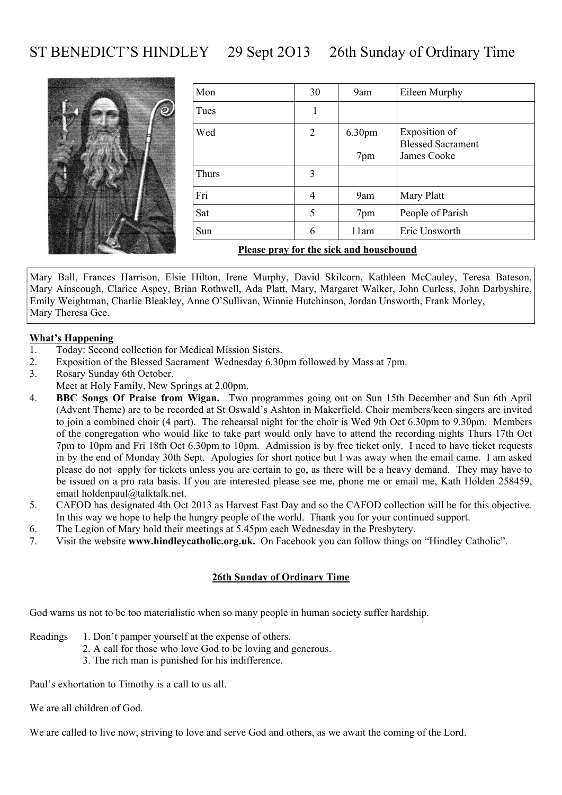# ST BENEDICT'S HINDLEY 29 Sept 2O13 26th Sunday of Ordinary Time



| Mon   | 30 | 9am    | Eileen Murphy                             |
|-------|----|--------|-------------------------------------------|
| Tues  | 1  |        |                                           |
| Wed   | 2  | 6.30pm | Exposition of<br><b>Blessed Sacrament</b> |
|       |    | 7pm    | James Cooke                               |
| Thurs | 3  |        |                                           |
| Fri   | 4  | 9am    | Mary Platt                                |
| Sat   | 5  | 7pm    | People of Parish                          |
| Sun   | 6  | 11am   | Eric Unsworth                             |
|       |    |        |                                           |

**Please pray for the sick and housebound**

Mary Ball, Frances Harrison, Elsie Hilton, Irene Murphy, David Skilcorn, Kathleen McCauley, Teresa Bateson, Mary Ainscough, Clarice Aspey, Brian Rothwell, Ada Platt, Mary, Margaret Walker, John Curless, John Darbyshire, Emily Weightman, Charlie Bleakley, Anne O'Sullivan, Winnie Hutchinson, Jordan Unsworth, Frank Morley, Mary Theresa Gee.

#### **What's Happening**

- 1. Today: Second collection for Medical Mission Sisters.
- 2. Exposition of the Blessed Sacrament Wednesday 6.30pm followed by Mass at 7pm.
- 3. Rosary Sunday 6th October.
- Meet at Holy Family, New Springs at 2.00pm.
- 4. **BBC Songs Of Praise from Wigan.** Two programmes going out on Sun 15th December and Sun 6th April (Advent Theme) are to be recorded at St Oswald's Ashton in Makerfield. Choir members/keen singers are invited to join a combined choir (4 part). The rehearsal night for the choir is Wed 9th Oct 6.30pm to 9.30pm. Members of the congregation who would like to take part would only have to attend the recording nights Thurs 17th Oct 7pm to 10pm and Fri 18th Oct 6.30pm to 10pm. Admission is by free ticket only. I need to have ticket requests in by the end of Monday 30th Sept. Apologies for short notice but I was away when the email came. I am asked please do not apply for tickets unless you are certain to go, as there will be a heavy demand. They may have to be issued on a pro rata basis. If you are interested please see me, phone me or email me, Kath Holden 258459, email holdenpaul@talktalk.net.
- 5. CAFOD has designated 4th Oct 2013 as Harvest Fast Day and so the CAFOD collection will be for this objective. In this way we hope to help the hungry people of the world. Thank you for your continued support.
- 6. The Legion of Mary hold their meetings at 5.45pm each Wednesday in the Presbytery.
- 7. Visit the website **www.hindleycatholic.org.uk.** On Facebook you can follow things on "Hindley Catholic".

#### **26th Sunday of Ordinary Time**

God warns us not to be too materialistic when so many people in human society suffer hardship.

- Readings 1. Don't pamper yourself at the expense of others.
	- 2. A call for those who love God to be loving and generous.
	- 3. The rich man is punished for his indifference.

Paul's exhortation to Timothy is a call to us all.

We are all children of God.

We are called to live now, striving to love and serve God and others, as we await the coming of the Lord.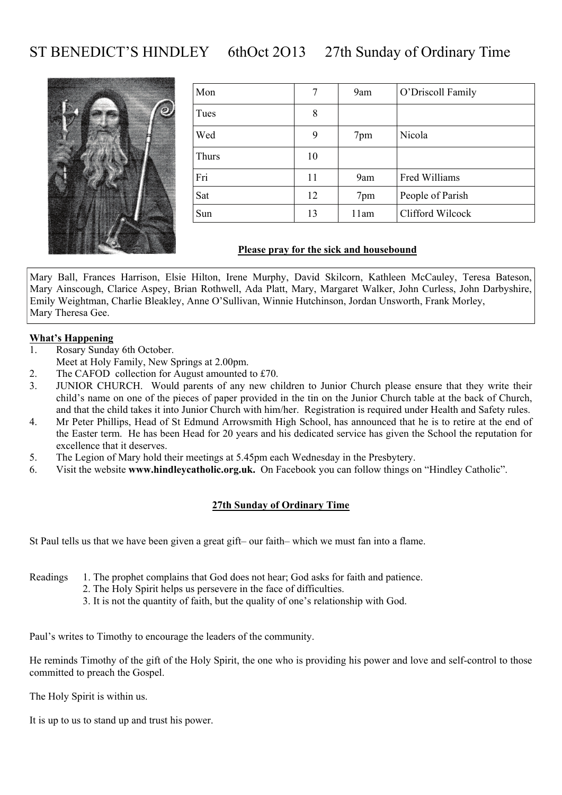# ST BENEDICT'S HINDLEY 6thOct 2013 27th Sunday of Ordinary Time



| Mon   | 7  | 9am  | O'Driscoll Family |
|-------|----|------|-------------------|
| Tues  | 8  |      |                   |
| Wed   | 9  | 7pm  | Nicola            |
| Thurs | 10 |      |                   |
| Fri   | 11 | 9am  | Fred Williams     |
| Sat   | 12 | 7pm  | People of Parish  |
| Sun   | 13 | 11am | Clifford Wilcock  |

#### **Please pray for the sick and housebound**

Mary Ball, Frances Harrison, Elsie Hilton, Irene Murphy, David Skilcorn, Kathleen McCauley, Teresa Bateson, Mary Ainscough, Clarice Aspey, Brian Rothwell, Ada Platt, Mary, Margaret Walker, John Curless, John Darbyshire, Emily Weightman, Charlie Bleakley, Anne O'Sullivan, Winnie Hutchinson, Jordan Unsworth, Frank Morley, Mary Theresa Gee.

#### **What's Happening**

- 1. Rosary Sunday 6th October.
- Meet at Holy Family, New Springs at 2.00pm.
- 2. The CAFOD collection for August amounted to £70.
- 3. JUNIOR CHURCH. Would parents of any new children to Junior Church please ensure that they write their child's name on one of the pieces of paper provided in the tin on the Junior Church table at the back of Church, and that the child takes it into Junior Church with him/her. Registration is required under Health and Safety rules.
- 4. Mr Peter Phillips, Head of St Edmund Arrowsmith High School, has announced that he is to retire at the end of the Easter term. He has been Head for 20 years and his dedicated service has given the School the reputation for excellence that it deserves.
- 5. The Legion of Mary hold their meetings at 5.45pm each Wednesday in the Presbytery.
- 6. Visit the website **www.hindleycatholic.org.uk.** On Facebook you can follow things on "Hindley Catholic".

#### **27th Sunday of Ordinary Time**

St Paul tells us that we have been given a great gift– our faith– which we must fan into a flame.

Readings 1. The prophet complains that God does not hear; God asks for faith and patience.

- 2. The Holy Spirit helps us persevere in the face of difficulties.
- 3. It is not the quantity of faith, but the quality of one's relationship with God.

Paul's writes to Timothy to encourage the leaders of the community.

He reminds Timothy of the gift of the Holy Spirit, the one who is providing his power and love and self-control to those committed to preach the Gospel.

The Holy Spirit is within us.

It is up to us to stand up and trust his power.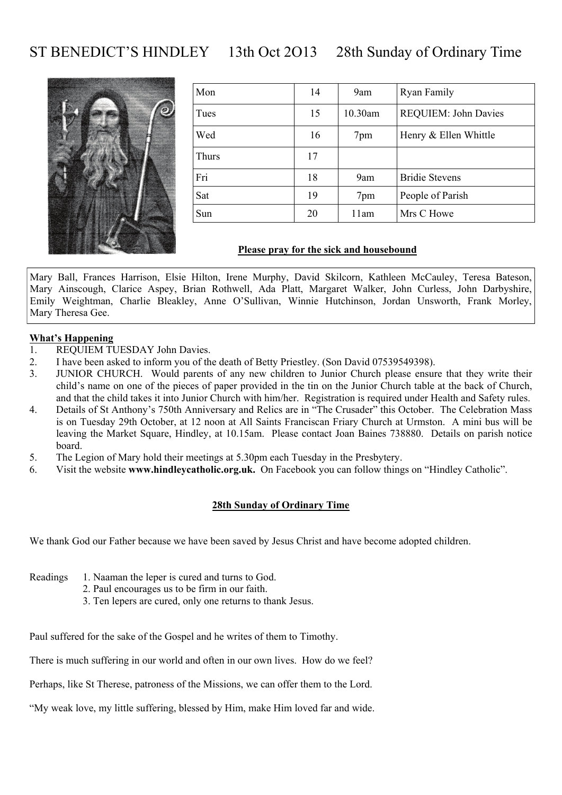# ST BENEDICT'S HINDLEY 13th Oct 2O13 28th Sunday of Ordinary Time



| Mon   | 14 | 9am     | Ryan Family           |
|-------|----|---------|-----------------------|
| Tues  | 15 | 10.30am | REQUIEM: John Davies  |
| Wed   | 16 | 7pm     | Henry & Ellen Whittle |
| Thurs | 17 |         |                       |
| Fri   | 18 | 9am     | <b>Bridie Stevens</b> |
| Sat   | 19 | 7pm     | People of Parish      |
| Sun   | 20 | 11am    | Mrs C Howe            |

#### **Please pray for the sick and housebound**

Mary Ball, Frances Harrison, Elsie Hilton, Irene Murphy, David Skilcorn, Kathleen McCauley, Teresa Bateson, Mary Ainscough, Clarice Aspey, Brian Rothwell, Ada Platt, Margaret Walker, John Curless, John Darbyshire, Emily Weightman, Charlie Bleakley, Anne O'Sullivan, Winnie Hutchinson, Jordan Unsworth, Frank Morley, Mary Theresa Gee.

#### **What's Happening**

- 1. REQUIEM TUESDAY John Davies.
- 2. I have been asked to inform you of the death of Betty Priestley. (Son David 07539549398).
- 3. JUNIOR CHURCH. Would parents of any new children to Junior Church please ensure that they write their child's name on one of the pieces of paper provided in the tin on the Junior Church table at the back of Church, and that the child takes it into Junior Church with him/her. Registration is required under Health and Safety rules.
- 4. Details of St Anthony's 750th Anniversary and Relics are in "The Crusader" this October. The Celebration Mass is on Tuesday 29th October, at 12 noon at All Saints Franciscan Friary Church at Urmston. A mini bus will be leaving the Market Square, Hindley, at 10.15am. Please contact Joan Baines 738880. Details on parish notice board.
- 5. The Legion of Mary hold their meetings at 5.30pm each Tuesday in the Presbytery.
- 6. Visit the website **www.hindleycatholic.org.uk.** On Facebook you can follow things on "Hindley Catholic".

#### **28th Sunday of Ordinary Time**

We thank God our Father because we have been saved by Jesus Christ and have become adopted children.

- Readings 1. Naaman the leper is cured and turns to God.
	- 2. Paul encourages us to be firm in our faith.
	- 3. Ten lepers are cured, only one returns to thank Jesus.

Paul suffered for the sake of the Gospel and he writes of them to Timothy.

There is much suffering in our world and often in our own lives. How do we feel?

Perhaps, like St Therese, patroness of the Missions, we can offer them to the Lord.

"My weak love, my little suffering, blessed by Him, make Him loved far and wide.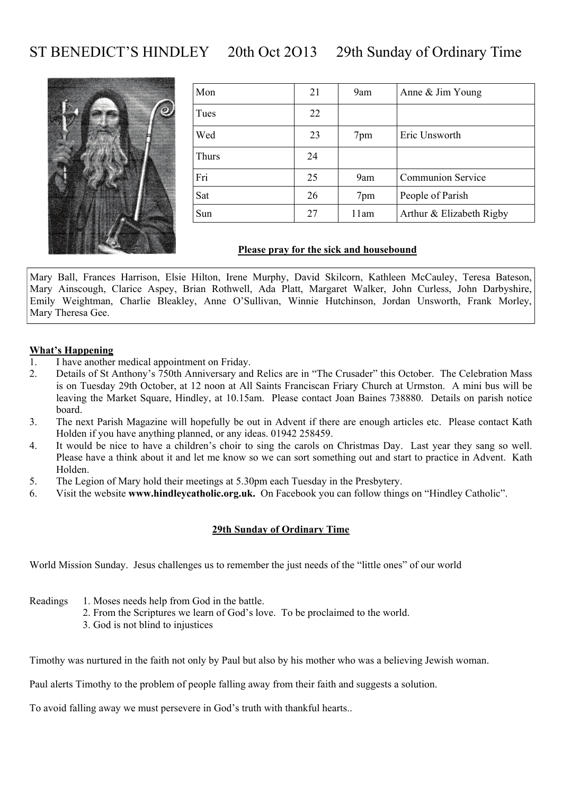# ST BENEDICT'S HINDLEY 20th Oct 2O13 29th Sunday of Ordinary Time



| Mon   | 21 | 9am  | Anne & Jim Young         |
|-------|----|------|--------------------------|
| Tues  | 22 |      |                          |
| Wed   | 23 | 7pm  | Eric Unsworth            |
| Thurs | 24 |      |                          |
| Fri   | 25 | 9am  | <b>Communion Service</b> |
| Sat   | 26 | 7pm  | People of Parish         |
| Sun   | 27 | 11am | Arthur & Elizabeth Rigby |

#### **Please pray for the sick and housebound**

Mary Ball, Frances Harrison, Elsie Hilton, Irene Murphy, David Skilcorn, Kathleen McCauley, Teresa Bateson, Mary Ainscough, Clarice Aspey, Brian Rothwell, Ada Platt, Margaret Walker, John Curless, John Darbyshire, Emily Weightman, Charlie Bleakley, Anne O'Sullivan, Winnie Hutchinson, Jordan Unsworth, Frank Morley, Mary Theresa Gee.

#### **What's Happening**

- 1. I have another medical appointment on Friday.
- 2. Details of St Anthony's 750th Anniversary and Relics are in "The Crusader" this October. The Celebration Mass is on Tuesday 29th October, at 12 noon at All Saints Franciscan Friary Church at Urmston. A mini bus will be leaving the Market Square, Hindley, at 10.15am. Please contact Joan Baines 738880. Details on parish notice board.
- 3. The next Parish Magazine will hopefully be out in Advent if there are enough articles etc. Please contact Kath Holden if you have anything planned, or any ideas. 01942 258459.
- 4. It would be nice to have a children's choir to sing the carols on Christmas Day. Last year they sang so well. Please have a think about it and let me know so we can sort something out and start to practice in Advent. Kath Holden.
- 5. The Legion of Mary hold their meetings at 5.30pm each Tuesday in the Presbytery.
- 6. Visit the website **www.hindleycatholic.org.uk.** On Facebook you can follow things on "Hindley Catholic".

#### **29th Sunday of Ordinary Time**

World Mission Sunday. Jesus challenges us to remember the just needs of the "little ones" of our world

- Readings 1. Moses needs help from God in the battle.
	- 2. From the Scriptures we learn of God's love. To be proclaimed to the world.
		- 3. God is not blind to injustices

Timothy was nurtured in the faith not only by Paul but also by his mother who was a believing Jewish woman.

Paul alerts Timothy to the problem of people falling away from their faith and suggests a solution.

To avoid falling away we must persevere in God's truth with thankful hearts..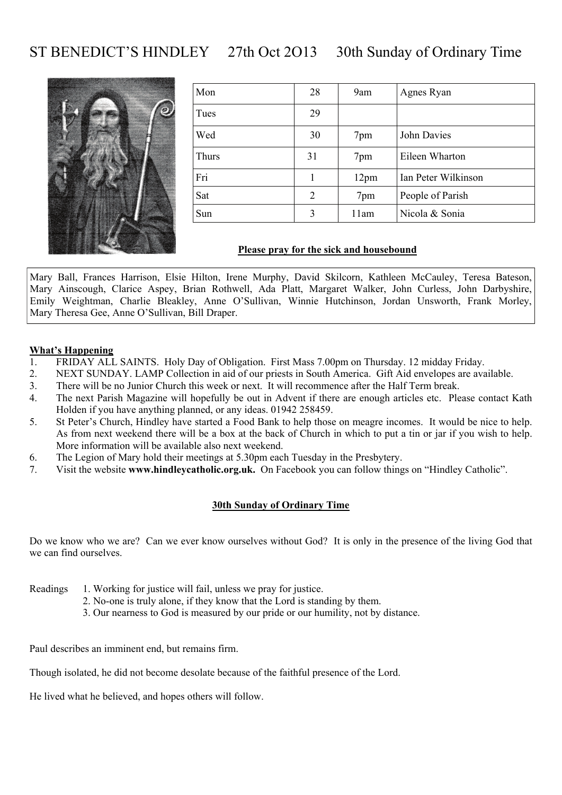# ST BENEDICT'S HINDLEY 27th Oct 2O13 30th Sunday of Ordinary Time



| Mon   | 28 | 9am              | Agnes Ryan          |
|-------|----|------------------|---------------------|
| Tues  | 29 |                  |                     |
| Wed   | 30 | 7pm              | John Davies         |
| Thurs | 31 | 7pm              | Eileen Wharton      |
| Fri   |    | 12 <sub>pm</sub> | Ian Peter Wilkinson |
| Sat   | 2  | 7pm              | People of Parish    |
| Sun   | 3  | 11am             | Nicola & Sonia      |

#### **Please pray for the sick and housebound**

Mary Ball, Frances Harrison, Elsie Hilton, Irene Murphy, David Skilcorn, Kathleen McCauley, Teresa Bateson, Mary Ainscough, Clarice Aspey, Brian Rothwell, Ada Platt, Margaret Walker, John Curless, John Darbyshire, Emily Weightman, Charlie Bleakley, Anne O'Sullivan, Winnie Hutchinson, Jordan Unsworth, Frank Morley, Mary Theresa Gee, Anne O'Sullivan, Bill Draper.

#### **What's Happening**

- 1. FRIDAY ALL SAINTS. Holy Day of Obligation. First Mass 7.00pm on Thursday. 12 midday Friday.
- 2. NEXT SUNDAY. LAMP Collection in aid of our priests in South America. Gift Aid envelopes are available.
- 3. There will be no Junior Church this week or next. It will recommence after the Half Term break.
- 4. The next Parish Magazine will hopefully be out in Advent if there are enough articles etc. Please contact Kath Holden if you have anything planned, or any ideas. 01942 258459.
- 5. St Peter's Church, Hindley have started a Food Bank to help those on meagre incomes. It would be nice to help. As from next weekend there will be a box at the back of Church in which to put a tin or jar if you wish to help. More information will be available also next weekend.
- 6. The Legion of Mary hold their meetings at 5.30pm each Tuesday in the Presbytery.
- 7. Visit the website **www.hindleycatholic.org.uk.** On Facebook you can follow things on "Hindley Catholic".

#### **30th Sunday of Ordinary Time**

Do we know who we are? Can we ever know ourselves without God? It is only in the presence of the living God that we can find ourselves.

- Readings 1. Working for justice will fail, unless we pray for justice.
	- 2. No-one is truly alone, if they know that the Lord is standing by them.
	- 3. Our nearness to God is measured by our pride or our humility, not by distance.

Paul describes an imminent end, but remains firm.

Though isolated, he did not become desolate because of the faithful presence of the Lord.

He lived what he believed, and hopes others will follow.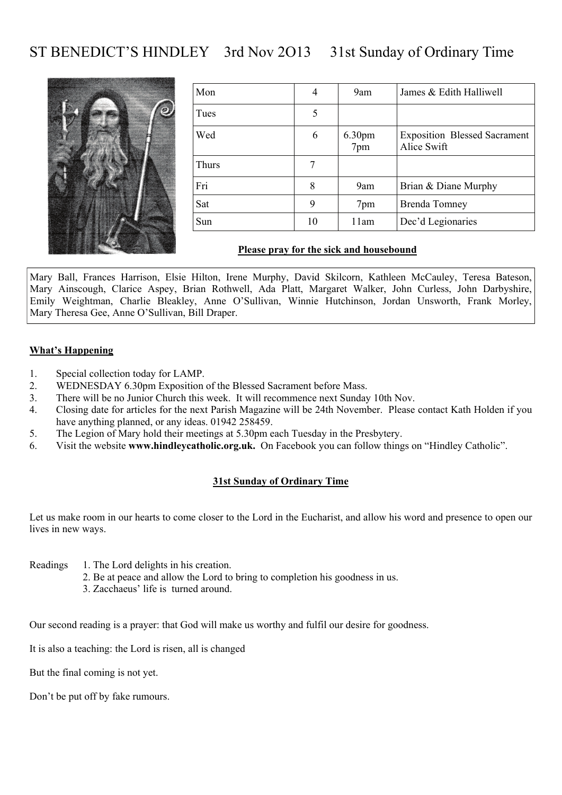# ST BENEDICT'S HINDLEY 3rd Nov 2O13 31st Sunday of Ordinary Time



| Mon   | 4  | 9am                       | James & Edith Halliwell                            |
|-------|----|---------------------------|----------------------------------------------------|
| Tues  | 5  |                           |                                                    |
| Wed   | 6  | 6.30 <sub>pm</sub><br>7pm | <b>Exposition Blessed Sacrament</b><br>Alice Swift |
| Thurs |    |                           |                                                    |
| Fri   | 8  | 9am                       | Brian & Diane Murphy                               |
| Sat   | 9  | 7pm                       | <b>Brenda Tomney</b>                               |
| Sun   | 10 | 11am                      | Dec'd Legionaries                                  |

#### **Please pray for the sick and housebound**

Mary Ball, Frances Harrison, Elsie Hilton, Irene Murphy, David Skilcorn, Kathleen McCauley, Teresa Bateson, Mary Ainscough, Clarice Aspey, Brian Rothwell, Ada Platt, Margaret Walker, John Curless, John Darbyshire, Emily Weightman, Charlie Bleakley, Anne O'Sullivan, Winnie Hutchinson, Jordan Unsworth, Frank Morley, Mary Theresa Gee, Anne O'Sullivan, Bill Draper.

#### **What's Happening**

- 1. Special collection today for LAMP.
- 2. WEDNESDAY 6.30pm Exposition of the Blessed Sacrament before Mass.
- 3. There will be no Junior Church this week. It will recommence next Sunday 10th Nov.
- 4. Closing date for articles for the next Parish Magazine will be 24th November. Please contact Kath Holden if you have anything planned, or any ideas. 01942 258459.
- 5. The Legion of Mary hold their meetings at 5.30pm each Tuesday in the Presbytery.
- 6. Visit the website **www.hindleycatholic.org.uk.** On Facebook you can follow things on "Hindley Catholic".

#### **31st Sunday of Ordinary Time**

Let us make room in our hearts to come closer to the Lord in the Eucharist, and allow his word and presence to open our lives in new ways.

- Readings 1. The Lord delights in his creation.
	- 2. Be at peace and allow the Lord to bring to completion his goodness in us.
		- 3. Zacchaeus' life is turned around.

Our second reading is a prayer: that God will make us worthy and fulfil our desire for goodness.

It is also a teaching: the Lord is risen, all is changed

But the final coming is not yet.

Don't be put off by fake rumours.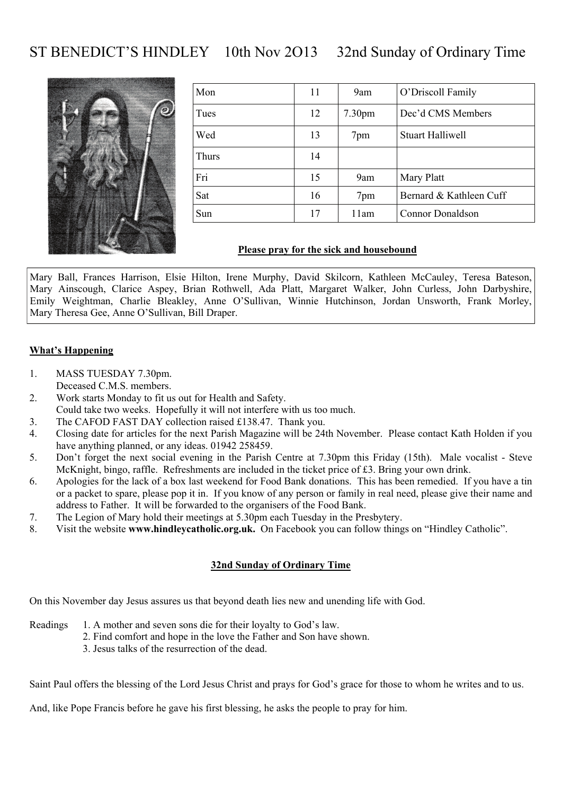# ST BENEDICT'S HINDLEY 10th Nov 2O13 32nd Sunday of Ordinary Time



| Mon   | 11 | 9am                | O'Driscoll Family       |
|-------|----|--------------------|-------------------------|
| Tues  | 12 | 7.30 <sub>pm</sub> | Dec'd CMS Members       |
| Wed   | 13 | 7pm                | <b>Stuart Halliwell</b> |
| Thurs | 14 |                    |                         |
| Fri   | 15 | 9am                | Mary Platt              |
| Sat   | 16 | 7pm                | Bernard & Kathleen Cuff |
| Sun   | 17 | 11am               | <b>Connor Donaldson</b> |

#### **Please pray for the sick and housebound**

Mary Ball, Frances Harrison, Elsie Hilton, Irene Murphy, David Skilcorn, Kathleen McCauley, Teresa Bateson, Mary Ainscough, Clarice Aspey, Brian Rothwell, Ada Platt, Margaret Walker, John Curless, John Darbyshire, Emily Weightman, Charlie Bleakley, Anne O'Sullivan, Winnie Hutchinson, Jordan Unsworth, Frank Morley, Mary Theresa Gee, Anne O'Sullivan, Bill Draper.

#### **What's Happening**

- 1. MASS TUESDAY 7.30pm. Deceased C.M.S. members.
- 2. Work starts Monday to fit us out for Health and Safety. Could take two weeks. Hopefully it will not interfere with us too much.
- 3. The CAFOD FAST DAY collection raised £138.47. Thank you.
- 4. Closing date for articles for the next Parish Magazine will be 24th November. Please contact Kath Holden if you have anything planned, or any ideas. 01942 258459.
- 5. Don't forget the next social evening in the Parish Centre at 7.30pm this Friday (15th). Male vocalist Steve McKnight, bingo, raffle. Refreshments are included in the ticket price of £3. Bring your own drink.
- 6. Apologies for the lack of a box last weekend for Food Bank donations. This has been remedied. If you have a tin or a packet to spare, please pop it in. If you know of any person or family in real need, please give their name and address to Father. It will be forwarded to the organisers of the Food Bank.
- 7. The Legion of Mary hold their meetings at 5.30pm each Tuesday in the Presbytery.
- 8. Visit the website **www.hindleycatholic.org.uk.** On Facebook you can follow things on "Hindley Catholic".

#### **32nd Sunday of Ordinary Time**

On this November day Jesus assures us that beyond death lies new and unending life with God.

- Readings 1. A mother and seven sons die for their loyalty to God's law.
	- 2. Find comfort and hope in the love the Father and Son have shown.
	- 3. Jesus talks of the resurrection of the dead.

Saint Paul offers the blessing of the Lord Jesus Christ and prays for God's grace for those to whom he writes and to us.

And, like Pope Francis before he gave his first blessing, he asks the people to pray for him.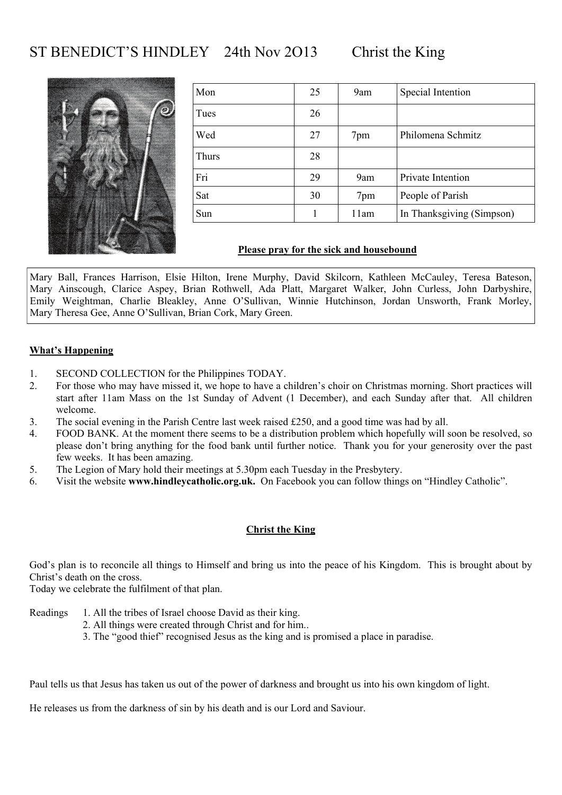# ST BENEDICT'S HINDLEY 24th Nov 2013 Christ the King



| Mon   | 25 | 9am  | Special Intention         |
|-------|----|------|---------------------------|
| Tues  | 26 |      |                           |
| Wed   | 27 | 7pm  | Philomena Schmitz         |
| Thurs | 28 |      |                           |
| Fri   | 29 | 9am  | Private Intention         |
| Sat   | 30 | 7pm  | People of Parish          |
| Sun   |    | 11am | In Thanksgiving (Simpson) |

#### **Please pray for the sick and housebound**

Mary Ball, Frances Harrison, Elsie Hilton, Irene Murphy, David Skilcorn, Kathleen McCauley, Teresa Bateson, Mary Ainscough, Clarice Aspey, Brian Rothwell, Ada Platt, Margaret Walker, John Curless, John Darbyshire, Emily Weightman, Charlie Bleakley, Anne O'Sullivan, Winnie Hutchinson, Jordan Unsworth, Frank Morley, Mary Theresa Gee, Anne O'Sullivan, Brian Cork, Mary Green.

#### **What's Happening**

- 1. SECOND COLLECTION for the Philippines TODAY.
- 2. For those who may have missed it, we hope to have a children's choir on Christmas morning. Short practices will start after 11am Mass on the 1st Sunday of Advent (1 December), and each Sunday after that. All children welcome.
- 3. The social evening in the Parish Centre last week raised £250, and a good time was had by all.
- 4. FOOD BANK. At the moment there seems to be a distribution problem which hopefully will soon be resolved, so please don't bring anything for the food bank until further notice. Thank you for your generosity over the past few weeks. It has been amazing.
- 5. The Legion of Mary hold their meetings at 5.30pm each Tuesday in the Presbytery.
- 6. Visit the website **www.hindleycatholic.org.uk.** On Facebook you can follow things on "Hindley Catholic".

#### **Christ the King**

God's plan is to reconcile all things to Himself and bring us into the peace of his Kingdom. This is brought about by Christ's death on the cross.

Today we celebrate the fulfilment of that plan.

- Readings 1. All the tribes of Israel choose David as their king.
	- 2. All things were created through Christ and for him..
		- 3. The "good thief" recognised Jesus as the king and is promised a place in paradise.

Paul tells us that Jesus has taken us out of the power of darkness and brought us into his own kingdom of light.

He releases us from the darkness of sin by his death and is our Lord and Saviour.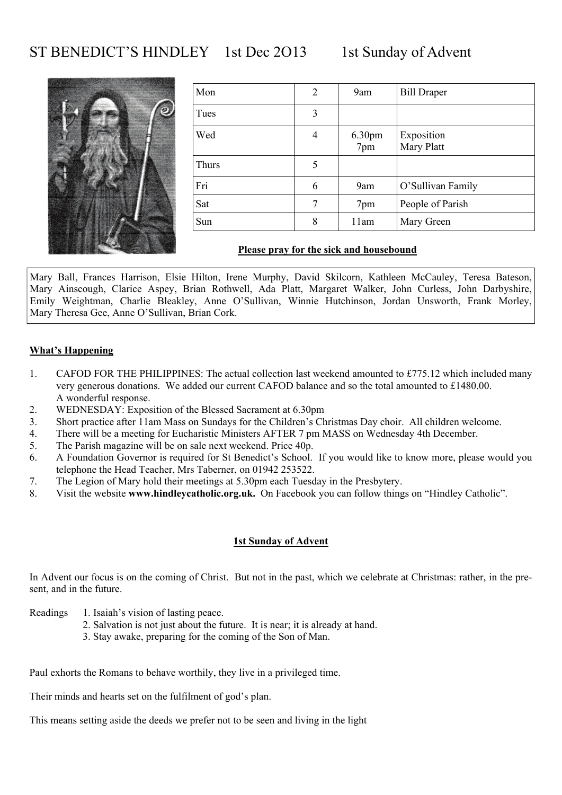## ST BENEDICT'S HINDLEY 1st Dec 2013 1st Sunday of Advent



| Mon   | 2 | 9am                       | <b>Bill Draper</b>       |
|-------|---|---------------------------|--------------------------|
| Tues  | 3 |                           |                          |
| Wed   | 4 | 6.30 <sub>pm</sub><br>7pm | Exposition<br>Mary Platt |
| Thurs | 5 |                           |                          |
| Fri   | 6 | 9am                       | O'Sullivan Family        |
| Sat   | 7 | 7pm                       | People of Parish         |
| Sun   | 8 | 11am                      | Mary Green               |

### **Please pray for the sick and housebound**

Mary Ball, Frances Harrison, Elsie Hilton, Irene Murphy, David Skilcorn, Kathleen McCauley, Teresa Bateson, Mary Ainscough, Clarice Aspey, Brian Rothwell, Ada Platt, Margaret Walker, John Curless, John Darbyshire, Emily Weightman, Charlie Bleakley, Anne O'Sullivan, Winnie Hutchinson, Jordan Unsworth, Frank Morley, Mary Theresa Gee, Anne O'Sullivan, Brian Cork.

### **What's Happening**

- 1. CAFOD FOR THE PHILIPPINES: The actual collection last weekend amounted to £775.12 which included many very generous donations. We added our current CAFOD balance and so the total amounted to £1480.00. A wonderful response.
- 2. WEDNESDAY: Exposition of the Blessed Sacrament at 6.30pm
- 3. Short practice after 11am Mass on Sundays for the Children's Christmas Day choir. All children welcome.
- 4. There will be a meeting for Eucharistic Ministers AFTER 7 pm MASS on Wednesday 4th December.
- 5. The Parish magazine will be on sale next weekend. Price 40p.
- 6. A Foundation Governor is required for St Benedict's School. If you would like to know more, please would you telephone the Head Teacher, Mrs Taberner, on 01942 253522.
- 7. The Legion of Mary hold their meetings at 5.30pm each Tuesday in the Presbytery.
- 8. Visit the website **www.hindleycatholic.org.uk.** On Facebook you can follow things on "Hindley Catholic".

#### **1st Sunday of Advent**

In Advent our focus is on the coming of Christ. But not in the past, which we celebrate at Christmas: rather, in the present, and in the future.

- Readings 1. Isaiah's vision of lasting peace.
	- 2. Salvation is not just about the future. It is near; it is already at hand.
	- 3. Stay awake, preparing for the coming of the Son of Man.

Paul exhorts the Romans to behave worthily, they live in a privileged time.

Their minds and hearts set on the fulfilment of god's plan.

This means setting aside the deeds we prefer not to be seen and living in the light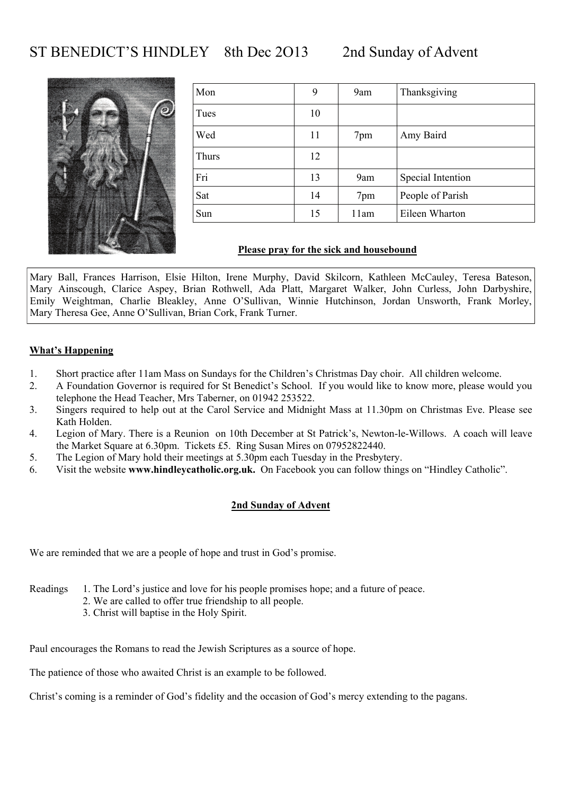## ST BENEDICT'S HINDLEY 8th Dec 2013 2nd Sunday of Advent



| Mon   | 9  | 9am  | Thanksgiving      |
|-------|----|------|-------------------|
| Tues  | 10 |      |                   |
| Wed   | 11 | 7pm  | Amy Baird         |
| Thurs | 12 |      |                   |
| Fri   | 13 | 9am  | Special Intention |
| Sat   | 14 | 7pm  | People of Parish  |
| Sun   | 15 | 11am | Eileen Wharton    |

#### **Please pray for the sick and housebound**

Mary Ball, Frances Harrison, Elsie Hilton, Irene Murphy, David Skilcorn, Kathleen McCauley, Teresa Bateson, Mary Ainscough, Clarice Aspey, Brian Rothwell, Ada Platt, Margaret Walker, John Curless, John Darbyshire, Emily Weightman, Charlie Bleakley, Anne O'Sullivan, Winnie Hutchinson, Jordan Unsworth, Frank Morley, Mary Theresa Gee, Anne O'Sullivan, Brian Cork, Frank Turner.

#### **What's Happening**

- 1. Short practice after 11am Mass on Sundays for the Children's Christmas Day choir. All children welcome.
- 2. A Foundation Governor is required for St Benedict's School. If you would like to know more, please would you telephone the Head Teacher, Mrs Taberner, on 01942 253522.
- 3. Singers required to help out at the Carol Service and Midnight Mass at 11.30pm on Christmas Eve. Please see Kath Holden.
- 4. Legion of Mary. There is a Reunion on 10th December at St Patrick's, Newton-le-Willows. A coach will leave the Market Square at 6.30pm. Tickets £5. Ring Susan Mires on 07952822440.
- 5. The Legion of Mary hold their meetings at 5.30pm each Tuesday in the Presbytery.
- 6. Visit the website **www.hindleycatholic.org.uk.** On Facebook you can follow things on "Hindley Catholic".

#### **2nd Sunday of Advent**

We are reminded that we are a people of hope and trust in God's promise.

- Readings 1. The Lord's justice and love for his people promises hope; and a future of peace.
	- 2. We are called to offer true friendship to all people.
	- 3. Christ will baptise in the Holy Spirit.

Paul encourages the Romans to read the Jewish Scriptures as a source of hope.

The patience of those who awaited Christ is an example to be followed.

Christ's coming is a reminder of God's fidelity and the occasion of God's mercy extending to the pagans.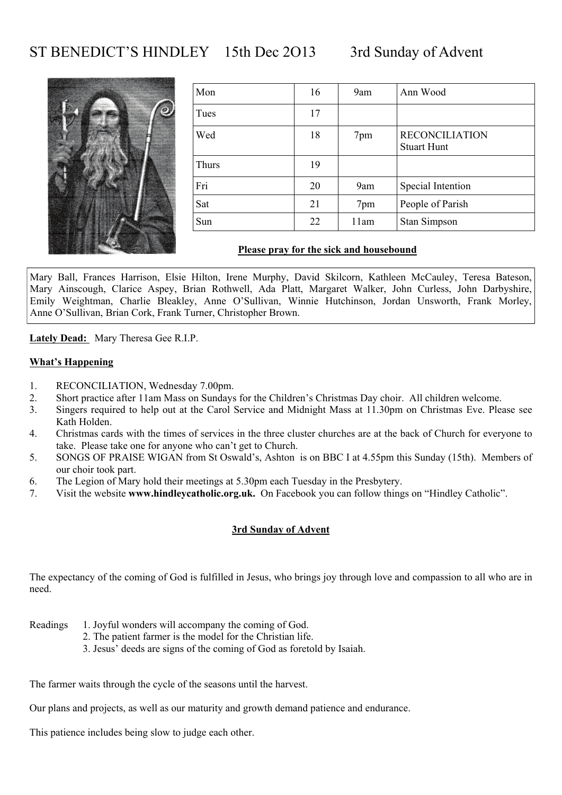## ST BENEDICT'S HINDLEY 15th Dec 2013 3rd Sunday of Advent



| Mon   | 16 | 9am  | Ann Wood                                    |
|-------|----|------|---------------------------------------------|
| Tues  | 17 |      |                                             |
| Wed   | 18 | 7pm  | <b>RECONCILIATION</b><br><b>Stuart Hunt</b> |
| Thurs | 19 |      |                                             |
| Fri   | 20 | 9am  | Special Intention                           |
| Sat   | 21 | 7pm  | People of Parish                            |
| Sun   | 22 | 11am | Stan Simpson                                |

#### **Please pray for the sick and housebound**

Mary Ball, Frances Harrison, Elsie Hilton, Irene Murphy, David Skilcorn, Kathleen McCauley, Teresa Bateson, Mary Ainscough, Clarice Aspey, Brian Rothwell, Ada Platt, Margaret Walker, John Curless, John Darbyshire, Emily Weightman, Charlie Bleakley, Anne O'Sullivan, Winnie Hutchinson, Jordan Unsworth, Frank Morley, Anne O'Sullivan, Brian Cork, Frank Turner, Christopher Brown.

**Lately Dead:** Mary Theresa Gee R.I.P.

#### **What's Happening**

- 1. RECONCILIATION, Wednesday 7.00pm.
- 2. Short practice after 11am Mass on Sundays for the Children's Christmas Day choir. All children welcome.
- 3. Singers required to help out at the Carol Service and Midnight Mass at 11.30pm on Christmas Eve. Please see Kath Holden.
- 4. Christmas cards with the times of services in the three cluster churches are at the back of Church for everyone to take. Please take one for anyone who can't get to Church.
- 5. SONGS OF PRAISE WIGAN from St Oswald's, Ashton is on BBC I at 4.55pm this Sunday (15th). Members of our choir took part.
- 6. The Legion of Mary hold their meetings at 5.30pm each Tuesday in the Presbytery.
- 7. Visit the website **www.hindleycatholic.org.uk.** On Facebook you can follow things on "Hindley Catholic".

#### **3rd Sunday of Advent**

The expectancy of the coming of God is fulfilled in Jesus, who brings joy through love and compassion to all who are in need.

- Readings 1. Joyful wonders will accompany the coming of God.
	- 2. The patient farmer is the model for the Christian life.
	- 3. Jesus' deeds are signs of the coming of God as foretold by Isaiah.

The farmer waits through the cycle of the seasons until the harvest.

Our plans and projects, as well as our maturity and growth demand patience and endurance.

This patience includes being slow to judge each other.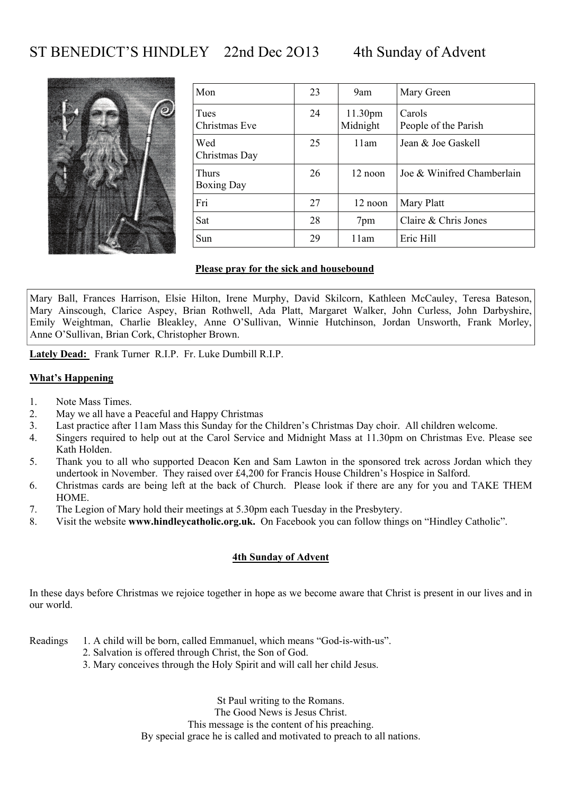# ST BENEDICT'S HINDLEY 22nd Dec 2013 4th Sunday of Advent



| Mon                        | 23 | 9am                 | Mary Green                     |
|----------------------------|----|---------------------|--------------------------------|
| Tues<br>Christmas Eve      | 24 | 11.30pm<br>Midnight | Carols<br>People of the Parish |
| Wed<br>Christmas Day       | 25 | 11am                | Jean & Joe Gaskell             |
| Thurs<br><b>Boxing Day</b> | 26 | 12 noon             | Joe & Winifred Chamberlain     |
| Fri                        | 27 | 12 noon             | Mary Platt                     |
| Sat                        | 28 | 7pm                 | Claire & Chris Jones           |
| Sun                        | 29 | 11am                | Eric Hill                      |

#### **Please pray for the sick and housebound**

Mary Ball, Frances Harrison, Elsie Hilton, Irene Murphy, David Skilcorn, Kathleen McCauley, Teresa Bateson, Mary Ainscough, Clarice Aspey, Brian Rothwell, Ada Platt, Margaret Walker, John Curless, John Darbyshire, Emily Weightman, Charlie Bleakley, Anne O'Sullivan, Winnie Hutchinson, Jordan Unsworth, Frank Morley, Anne O'Sullivan, Brian Cork, Christopher Brown.

**Lately Dead:** Frank Turner R.I.P. Fr. Luke Dumbill R.I.P.

#### **What's Happening**

- 1. Note Mass Times.
- 2. May we all have a Peaceful and Happy Christmas
- 3. Last practice after 11am Mass this Sunday for the Children's Christmas Day choir. All children welcome.
- 4. Singers required to help out at the Carol Service and Midnight Mass at 11.30pm on Christmas Eve. Please see Kath Holden.
- 5. Thank you to all who supported Deacon Ken and Sam Lawton in the sponsored trek across Jordan which they undertook in November. They raised over £4,200 for Francis House Children's Hospice in Salford.
- 6. Christmas cards are being left at the back of Church. Please look if there are any for you and TAKE THEM HOME.
- 7. The Legion of Mary hold their meetings at 5.30pm each Tuesday in the Presbytery.
- 8. Visit the website **www.hindleycatholic.org.uk.** On Facebook you can follow things on "Hindley Catholic".

#### **4th Sunday of Advent**

In these days before Christmas we rejoice together in hope as we become aware that Christ is present in our lives and in our world.

Readings 1. A child will be born, called Emmanuel, which means "God-is-with-us".

- 2. Salvation is offered through Christ, the Son of God.
- 3. Mary conceives through the Holy Spirit and will call her child Jesus.

St Paul writing to the Romans. The Good News is Jesus Christ. This message is the content of his preaching. By special grace he is called and motivated to preach to all nations.